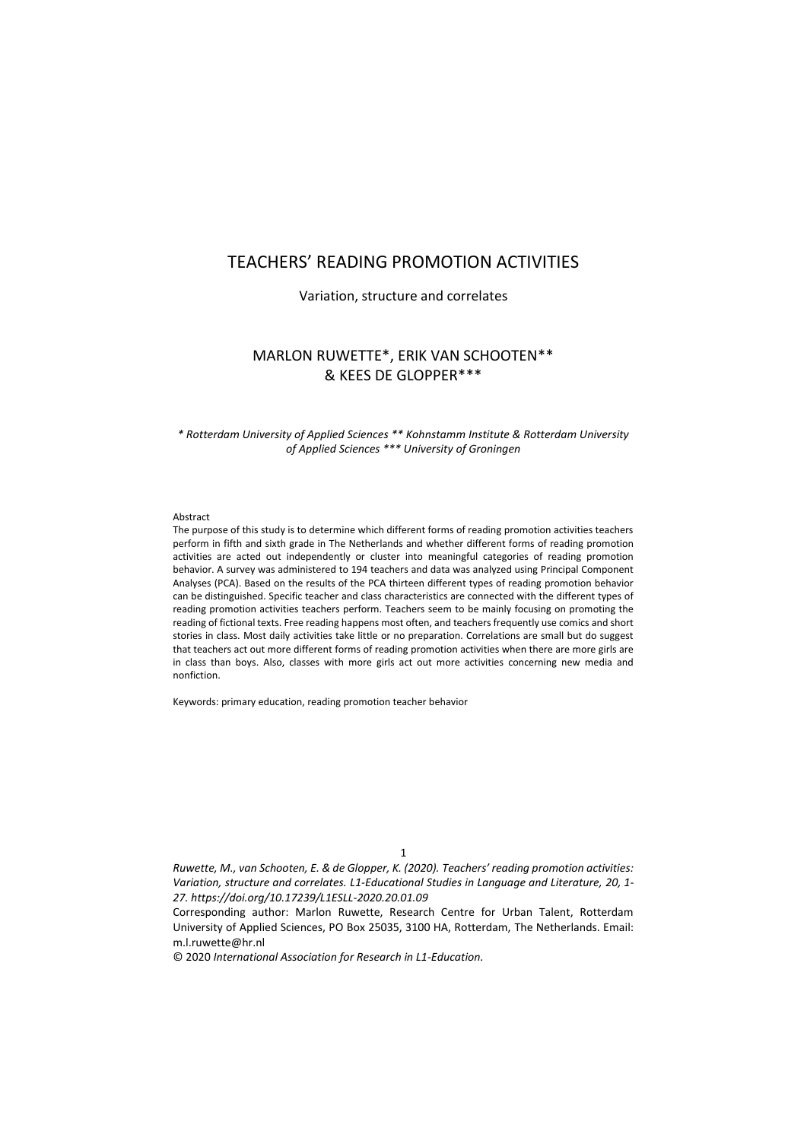# TEACHERS' READING PROMOTION ACTIVITIES

Variation, structure and correlates

# MARLON RUWETTE\*, ERIK VAN SCHOOTEN\*\* & KEES DE GLOPPER\*\*\*

*\* Rotterdam University of Applied Sciences \*\* Kohnstamm Institute & Rotterdam University of Applied Sciences \*\*\* University of Groningen*

#### Abstract

The purpose of this study is to determine which different forms of reading promotion activities teachers perform in fifth and sixth grade in The Netherlands and whether different forms of reading promotion activities are acted out independently or cluster into meaningful categories of reading promotion behavior. A survey was administered to 194 teachers and data was analyzed using Principal Component Analyses (PCA). Based on the results of the PCA thirteen different types of reading promotion behavior can be distinguished. Specific teacher and class characteristics are connected with the different types of reading promotion activities teachers perform. Teachers seem to be mainly focusing on promoting the reading of fictional texts. Free reading happens most often, and teachers frequently use comics and short stories in class. Most daily activities take little or no preparation. Correlations are small but do suggest that teachers act out more different forms of reading promotion activities when there are more girls are in class than boys. Also, classes with more girls act out more activities concerning new media and nonfiction.

Keywords: primary education, reading promotion teacher behavior

1

*Ruwette, M., van Schooten, E. & de Glopper, K. (2020). Teachers' reading promotion activities: Variation, structure and correlates. L1-Educational Studies in Language and Literature, 20, 1- 27. https://doi.org/10.17239/L1ESLL-2020.20.01.09*

Corresponding author: Marlon Ruwette, Research Centre for Urban Talent, Rotterdam University of Applied Sciences, PO Box 25035, 3100 HA, Rotterdam, The Netherlands. Email: m.l.ruwette@hr.nl

© 2020 *International Association for Research in L1-Education.*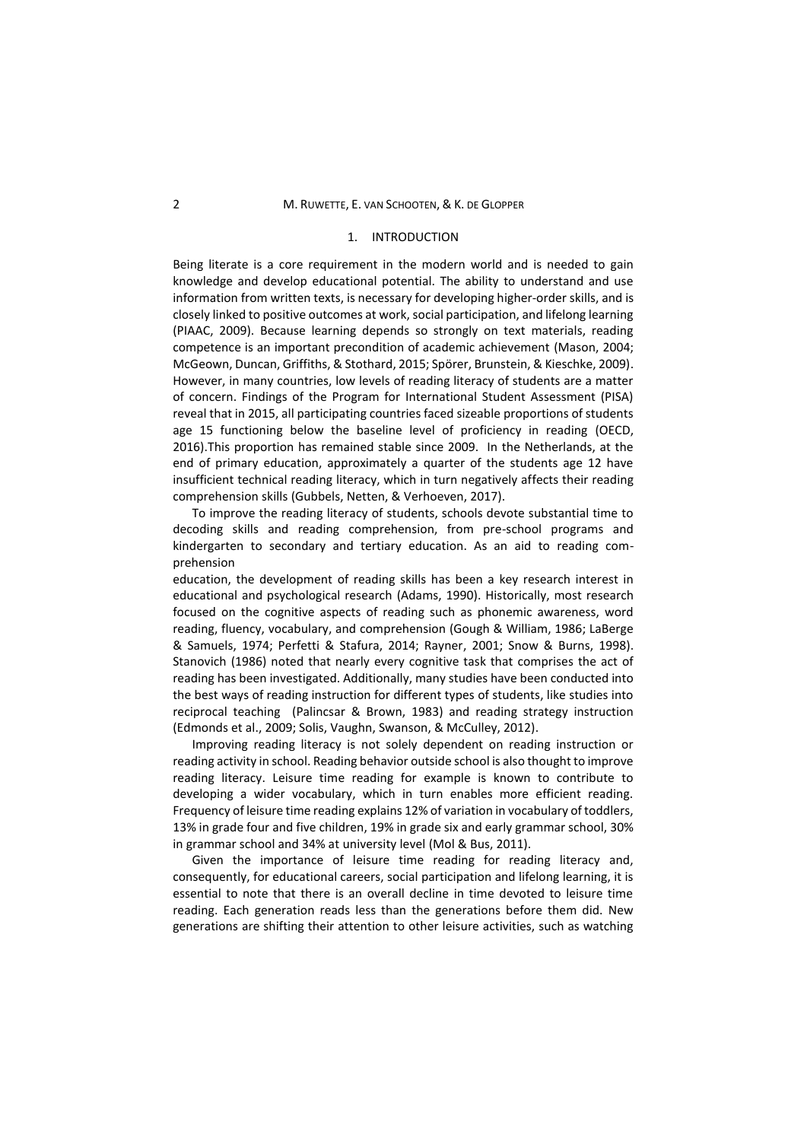### 2 M. RUWETTE, E. VAN SCHOOTEN, & K. DE GLOPPER

### 1. INTRODUCTION

Being literate is a core requirement in the modern world and is needed to gain knowledge and develop educational potential. The ability to understand and use information from written texts, is necessary for developing higher-order skills, and is closely linked to positive outcomes at work, social participation, and lifelong learning (PIAAC, 2009). Because learning depends so strongly on text materials, reading competence is an important precondition of academic achievement (Mason, 2004; McGeown, Duncan, Griffiths, & Stothard, 2015; Spörer, Brunstein, & Kieschke, 2009). However, in many countries, low levels of reading literacy of students are a matter of concern. Findings of the Program for International Student Assessment (PISA) reveal that in 2015, all participating countries faced sizeable proportions of students age 15 functioning below the baseline level of proficiency in reading (OECD, 2016).This proportion has remained stable since 2009. In the Netherlands, at the end of primary education, approximately a quarter of the students age 12 have insufficient technical reading literacy, which in turn negatively affects their reading comprehension skills (Gubbels, Netten, & Verhoeven, 2017).

To improve the reading literacy of students, schools devote substantial time to decoding skills and reading comprehension, from pre-school programs and kindergarten to secondary and tertiary education. As an aid to reading comprehension

education, the development of reading skills has been a key research interest in educational and psychological research (Adams, 1990). Historically, most research focused on the cognitive aspects of reading such as phonemic awareness, word reading, fluency, vocabulary, and comprehension (Gough & William, 1986; LaBerge & Samuels, 1974; Perfetti & Stafura, 2014; Rayner, 2001; Snow & Burns, 1998). Stanovich (1986) noted that nearly every cognitive task that comprises the act of reading has been investigated. Additionally, many studies have been conducted into the best ways of reading instruction for different types of students, like studies into reciprocal teaching (Palincsar & Brown, 1983) and reading strategy instruction (Edmonds et al., 2009; Solis, Vaughn, Swanson, & McCulley, 2012).

Improving reading literacy is not solely dependent on reading instruction or reading activity in school. Reading behavior outside school is also thought to improve reading literacy. Leisure time reading for example is known to contribute to developing a wider vocabulary, which in turn enables more efficient reading. Frequency of leisure time reading explains 12% of variation in vocabulary of toddlers, 13% in grade four and five children, 19% in grade six and early grammar school, 30% in grammar school and 34% at university level (Mol & Bus, 2011).

Given the importance of leisure time reading for reading literacy and, consequently, for educational careers, social participation and lifelong learning, it is essential to note that there is an overall decline in time devoted to leisure time reading. Each generation reads less than the generations before them did. New generations are shifting their attention to other leisure activities, such as watching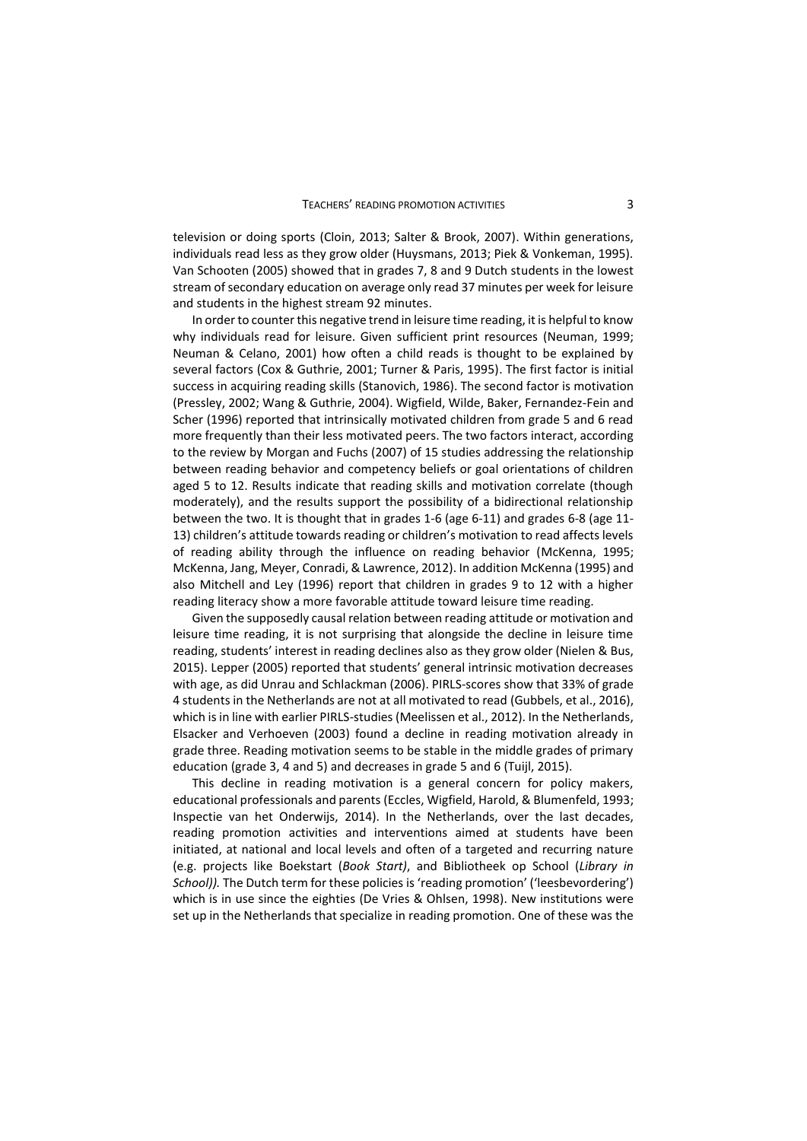television or doing sports (Cloin, 2013; Salter & Brook, 2007). Within generations, individuals read less as they grow older (Huysmans, 2013; Piek & Vonkeman, 1995). Van Schooten (2005) showed that in grades 7, 8 and 9 Dutch students in the lowest stream of secondary education on average only read 37 minutes per week for leisure and students in the highest stream 92 minutes.

In order to counter this negative trend in leisure time reading, it is helpful to know why individuals read for leisure. Given sufficient print resources (Neuman, 1999; Neuman & Celano, 2001) how often a child reads is thought to be explained by several factors (Cox & Guthrie, 2001; Turner & Paris, 1995). The first factor is initial success in acquiring reading skills (Stanovich, 1986). The second factor is motivation (Pressley, 2002; Wang & Guthrie, 2004). Wigfield, Wilde, Baker, Fernandez-Fein and Scher (1996) reported that intrinsically motivated children from grade 5 and 6 read more frequently than their less motivated peers. The two factors interact, according to the review by Morgan and Fuchs (2007) of 15 studies addressing the relationship between reading behavior and competency beliefs or goal orientations of children aged 5 to 12. Results indicate that reading skills and motivation correlate (though moderately), and the results support the possibility of a bidirectional relationship between the two. It is thought that in grades 1-6 (age 6-11) and grades 6-8 (age 11- 13) children's attitude towards reading or children's motivation to read affects levels of reading ability through the influence on reading behavior (McKenna, 1995; McKenna, Jang, Meyer, Conradi, & Lawrence, 2012). In addition McKenna (1995) and also Mitchell and Ley (1996) report that children in grades 9 to 12 with a higher reading literacy show a more favorable attitude toward leisure time reading.

Given the supposedly causal relation between reading attitude or motivation and leisure time reading, it is not surprising that alongside the decline in leisure time reading, students' interest in reading declines also as they grow older (Nielen & Bus, 2015). Lepper (2005) reported that students' general intrinsic motivation decreases with age, as did Unrau and Schlackman (2006). PIRLS-scores show that 33% of grade 4 students in the Netherlands are not at all motivated to read (Gubbels, et al., 2016), which is in line with earlier PIRLS-studies (Meelissen et al., 2012). In the Netherlands, Elsacker and Verhoeven (2003) found a decline in reading motivation already in grade three. Reading motivation seems to be stable in the middle grades of primary education (grade 3, 4 and 5) and decreases in grade 5 and 6 (Tuijl, 2015).

This decline in reading motivation is a general concern for policy makers, educational professionals and parents (Eccles, Wigfield, Harold, & Blumenfeld, 1993; Inspectie van het Onderwijs, 2014). In the Netherlands, over the last decades, reading promotion activities and interventions aimed at students have been initiated, at national and local levels and often of a targeted and recurring nature (e.g. projects like Boekstart (*Book Start)*, and Bibliotheek op School (*Library in School)).* The Dutch term for these policies is 'reading promotion' ('leesbevordering') which is in use since the eighties (De Vries & Ohlsen, 1998). New institutions were set up in the Netherlands that specialize in reading promotion. One of these was the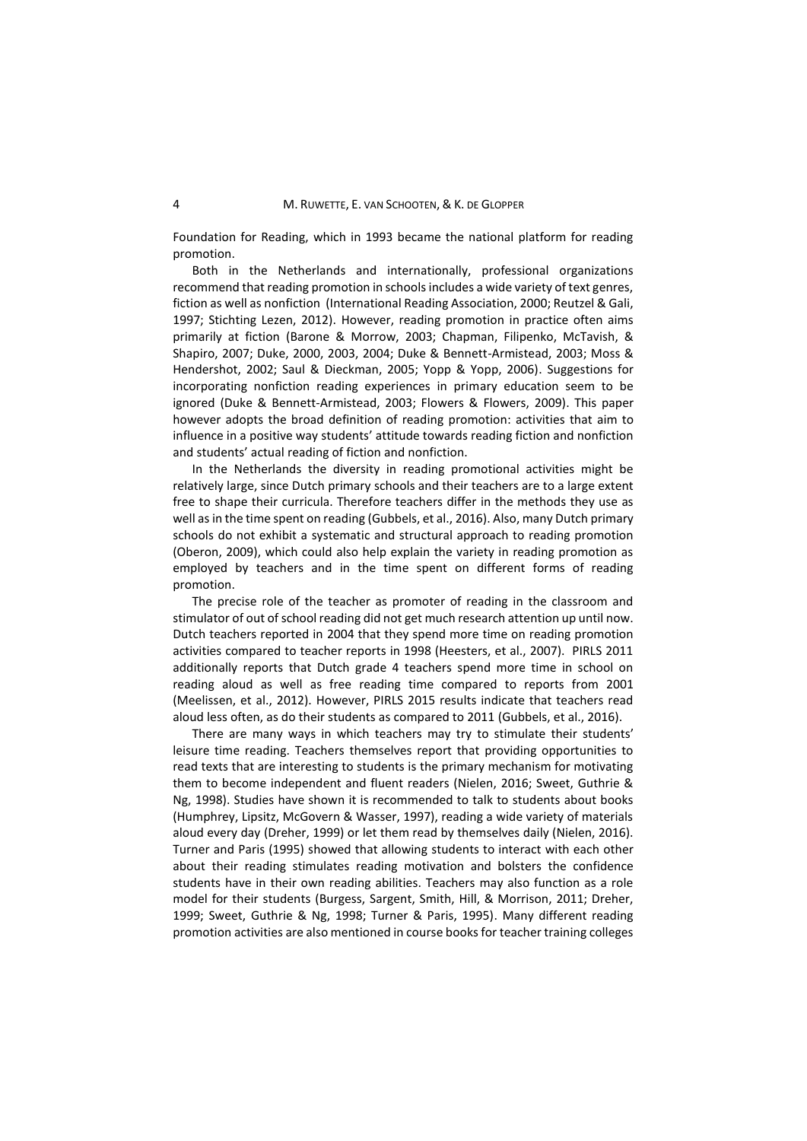Foundation for Reading, which in 1993 became the national platform for reading promotion.

Both in the Netherlands and internationally, professional organizations recommend that reading promotion in schools includes a wide variety of text genres, fiction as well as nonfiction (International Reading Association, 2000; Reutzel & Gali, 1997; Stichting Lezen, 2012). However, reading promotion in practice often aims primarily at fiction (Barone & Morrow, 2003; Chapman, Filipenko, McTavish, & Shapiro, 2007; Duke, 2000, 2003, 2004; Duke & Bennett-Armistead, 2003; Moss & Hendershot, 2002; Saul & Dieckman, 2005; Yopp & Yopp, 2006). Suggestions for incorporating nonfiction reading experiences in primary education seem to be ignored (Duke & Bennett-Armistead, 2003; Flowers & Flowers, 2009). This paper however adopts the broad definition of reading promotion: activities that aim to influence in a positive way students' attitude towards reading fiction and nonfiction and students' actual reading of fiction and nonfiction.

In the Netherlands the diversity in reading promotional activities might be relatively large, since Dutch primary schools and their teachers are to a large extent free to shape their curricula. Therefore teachers differ in the methods they use as well as in the time spent on reading (Gubbels, et al., 2016). Also, many Dutch primary schools do not exhibit a systematic and structural approach to reading promotion (Oberon, 2009), which could also help explain the variety in reading promotion as employed by teachers and in the time spent on different forms of reading promotion.

The precise role of the teacher as promoter of reading in the classroom and stimulator of out of school reading did not get much research attention up until now. Dutch teachers reported in 2004 that they spend more time on reading promotion activities compared to teacher reports in 1998 (Heesters, et al., 2007). PIRLS 2011 additionally reports that Dutch grade 4 teachers spend more time in school on reading aloud as well as free reading time compared to reports from 2001 (Meelissen, et al., 2012). However, PIRLS 2015 results indicate that teachers read aloud less often, as do their students as compared to 2011 (Gubbels, et al., 2016).

There are many ways in which teachers may try to stimulate their students' leisure time reading. Teachers themselves report that providing opportunities to read texts that are interesting to students is the primary mechanism for motivating them to become independent and fluent readers (Nielen, 2016; Sweet, Guthrie & Ng, 1998). Studies have shown it is recommended to talk to students about books (Humphrey, Lipsitz, McGovern & Wasser, 1997), reading a wide variety of materials aloud every day (Dreher, 1999) or let them read by themselves daily (Nielen, 2016). Turner and Paris (1995) showed that allowing students to interact with each other about their reading stimulates reading motivation and bolsters the confidence students have in their own reading abilities. Teachers may also function as a role model for their students (Burgess, Sargent, Smith, Hill, & Morrison, 2011; Dreher, 1999; Sweet, Guthrie & Ng, 1998; Turner & Paris, 1995). Many different reading promotion activities are also mentioned in course books for teacher training colleges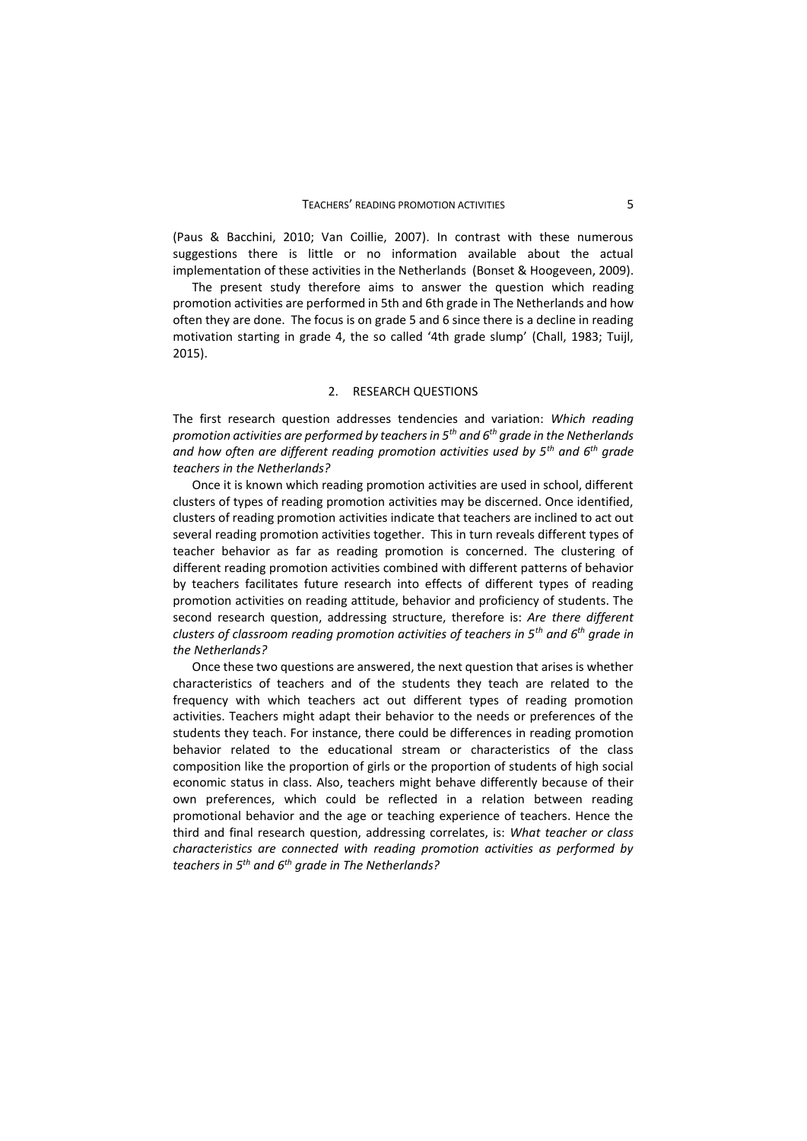(Paus & Bacchini, 2010; Van Coillie, 2007). In contrast with these numerous suggestions there is little or no information available about the actual implementation of these activities in the Netherlands (Bonset & Hoogeveen, 2009).

The present study therefore aims to answer the question which reading promotion activities are performed in 5th and 6th grade in The Netherlands and how often they are done. The focus is on grade 5 and 6 since there is a decline in reading motivation starting in grade 4, the so called '4th grade slump' (Chall, 1983; Tuijl, 2015).

### 2. RESEARCH QUESTIONS

The first research question addresses tendencies and variation: *Which reading promotion activities are performed by teachers in 5th and 6th grade in the Netherlands and how often are different reading promotion activities used by 5th and 6th grade teachers in the Netherlands?*

Once it is known which reading promotion activities are used in school, different clusters of types of reading promotion activities may be discerned. Once identified, clusters of reading promotion activities indicate that teachers are inclined to act out several reading promotion activities together. This in turn reveals different types of teacher behavior as far as reading promotion is concerned. The clustering of different reading promotion activities combined with different patterns of behavior by teachers facilitates future research into effects of different types of reading promotion activities on reading attitude, behavior and proficiency of students. The second research question, addressing structure, therefore is: *Are there different clusters of classroom reading promotion activities of teachers in 5th and 6th grade in the Netherlands?*

Once these two questions are answered, the next question that arises is whether characteristics of teachers and of the students they teach are related to the frequency with which teachers act out different types of reading promotion activities. Teachers might adapt their behavior to the needs or preferences of the students they teach. For instance, there could be differences in reading promotion behavior related to the educational stream or characteristics of the class composition like the proportion of girls or the proportion of students of high social economic status in class. Also, teachers might behave differently because of their own preferences, which could be reflected in a relation between reading promotional behavior and the age or teaching experience of teachers. Hence the third and final research question, addressing correlates, is: *What teacher or class characteristics are connected with reading promotion activities as performed by teachers in 5th and 6th grade in The Netherlands?*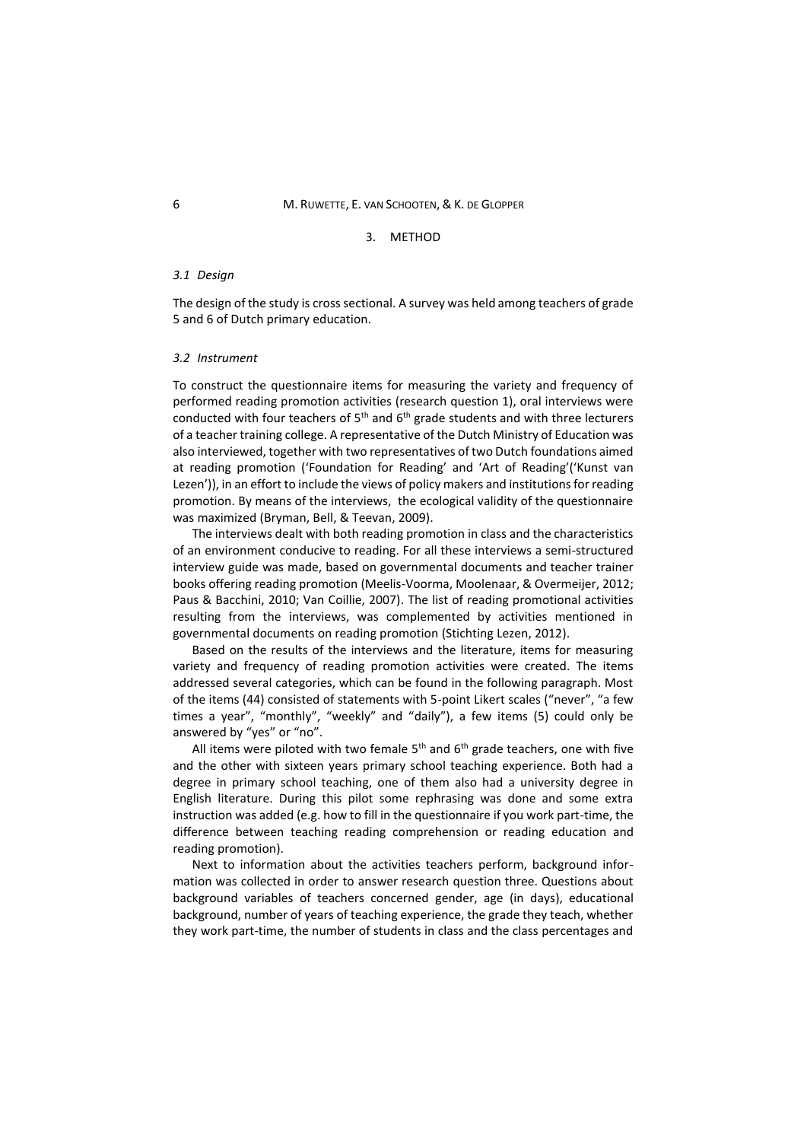### 3. METHOD

### *3.1 Design*

The design of the study is cross sectional. A survey was held among teachers of grade 5 and 6 of Dutch primary education.

#### *3.2 Instrument*

To construct the questionnaire items for measuring the variety and frequency of performed reading promotion activities (research question 1), oral interviews were conducted with four teachers of  $5<sup>th</sup>$  and  $6<sup>th</sup>$  grade students and with three lecturers of a teacher training college. A representative of the Dutch Ministry of Education was also interviewed, together with two representatives of two Dutch foundations aimed at reading promotion ('Foundation for Reading' and 'Art of Reading'('Kunst van Lezen')), in an effort to include the views of policy makers and institutions for reading promotion. By means of the interviews, the ecological validity of the questionnaire was maximized (Bryman, Bell, & Teevan, 2009).

The interviews dealt with both reading promotion in class and the characteristics of an environment conducive to reading. For all these interviews a semi-structured interview guide was made, based on governmental documents and teacher trainer books offering reading promotion (Meelis-Voorma, Moolenaar, & Overmeijer, 2012; Paus & Bacchini, 2010; Van Coillie, 2007). The list of reading promotional activities resulting from the interviews, was complemented by activities mentioned in governmental documents on reading promotion (Stichting Lezen, 2012).

Based on the results of the interviews and the literature, items for measuring variety and frequency of reading promotion activities were created. The items addressed several categories, which can be found in the following paragraph. Most of the items (44) consisted of statements with 5-point Likert scales ("never", "a few times a year", "monthly", "weekly" and "daily"), a few items (5) could only be answered by "yes" or "no".

All items were piloted with two female  $5<sup>th</sup>$  and  $6<sup>th</sup>$  grade teachers, one with five and the other with sixteen years primary school teaching experience. Both had a degree in primary school teaching, one of them also had a university degree in English literature. During this pilot some rephrasing was done and some extra instruction was added (e.g. how to fill in the questionnaire if you work part-time, the difference between teaching reading comprehension or reading education and reading promotion).

Next to information about the activities teachers perform, background information was collected in order to answer research question three. Questions about background variables of teachers concerned gender, age (in days), educational background, number of years of teaching experience, the grade they teach, whether they work part-time, the number of students in class and the class percentages and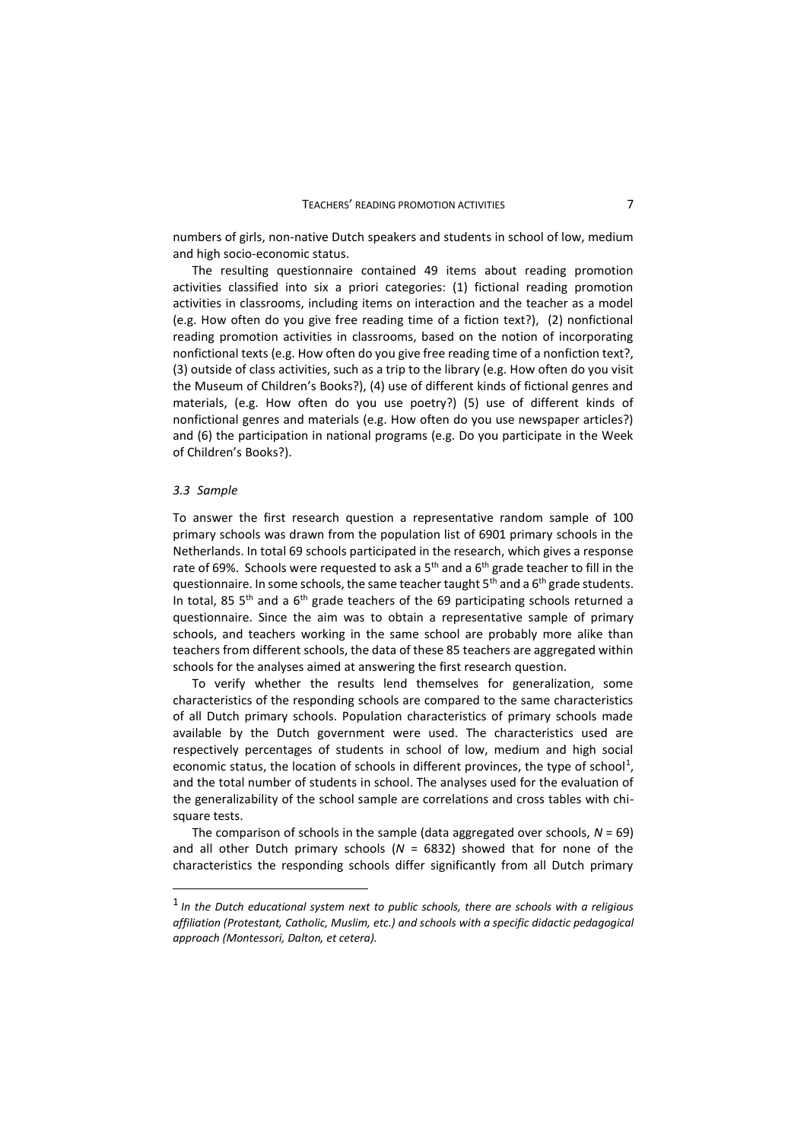numbers of girls, non-native Dutch speakers and students in school of low, medium and high socio-economic status.

The resulting questionnaire contained 49 items about reading promotion activities classified into six a priori categories: (1) fictional reading promotion activities in classrooms, including items on interaction and the teacher as a model (e.g. How often do you give free reading time of a fiction text?), (2) nonfictional reading promotion activities in classrooms, based on the notion of incorporating nonfictional texts (e.g. How often do you give free reading time of a nonfiction text?, (3) outside of class activities, such as a trip to the library (e.g. How often do you visit the Museum of Children's Books?), (4) use of different kinds of fictional genres and materials, (e.g. How often do you use poetry?) (5) use of different kinds of nonfictional genres and materials (e.g. How often do you use newspaper articles?) and (6) the participation in national programs (e.g. Do you participate in the Week of Children's Books?).

#### *3.3 Sample*

To answer the first research question a representative random sample of 100 primary schools was drawn from the population list of 6901 primary schools in the Netherlands. In total 69 schools participated in the research, which gives a response rate of 69%. Schools were requested to ask a  $5<sup>th</sup>$  and a  $6<sup>th</sup>$  grade teacher to fill in the questionnaire. In some schools, the same teacher taught  $5<sup>th</sup>$  and a  $6<sup>th</sup>$  grade students. In total, 85  $5<sup>th</sup>$  and a  $6<sup>th</sup>$  grade teachers of the 69 participating schools returned a questionnaire. Since the aim was to obtain a representative sample of primary schools, and teachers working in the same school are probably more alike than teachers from different schools, the data of these 85 teachers are aggregated within schools for the analyses aimed at answering the first research question.

To verify whether the results lend themselves for generalization, some characteristics of the responding schools are compared to the same characteristics of all Dutch primary schools. Population characteristics of primary schools made available by the Dutch government were used. The characteristics used are respectively percentages of students in school of low, medium and high social economic status, the location of schools in different provinces, the type of school<sup>1</sup>, and the total number of students in school. The analyses used for the evaluation of the generalizability of the school sample are correlations and cross tables with chisquare tests.

The comparison of schools in the sample (data aggregated over schools, *N* = 69) and all other Dutch primary schools (*N* = 6832) showed that for none of the characteristics the responding schools differ significantly from all Dutch primary

<sup>1</sup> *In the Dutch educational system next to public schools, there are schools with a religious affiliation (Protestant, Catholic, Muslim, etc.) and schools with a specific didactic pedagogical approach (Montessori, Dalton, et cetera).*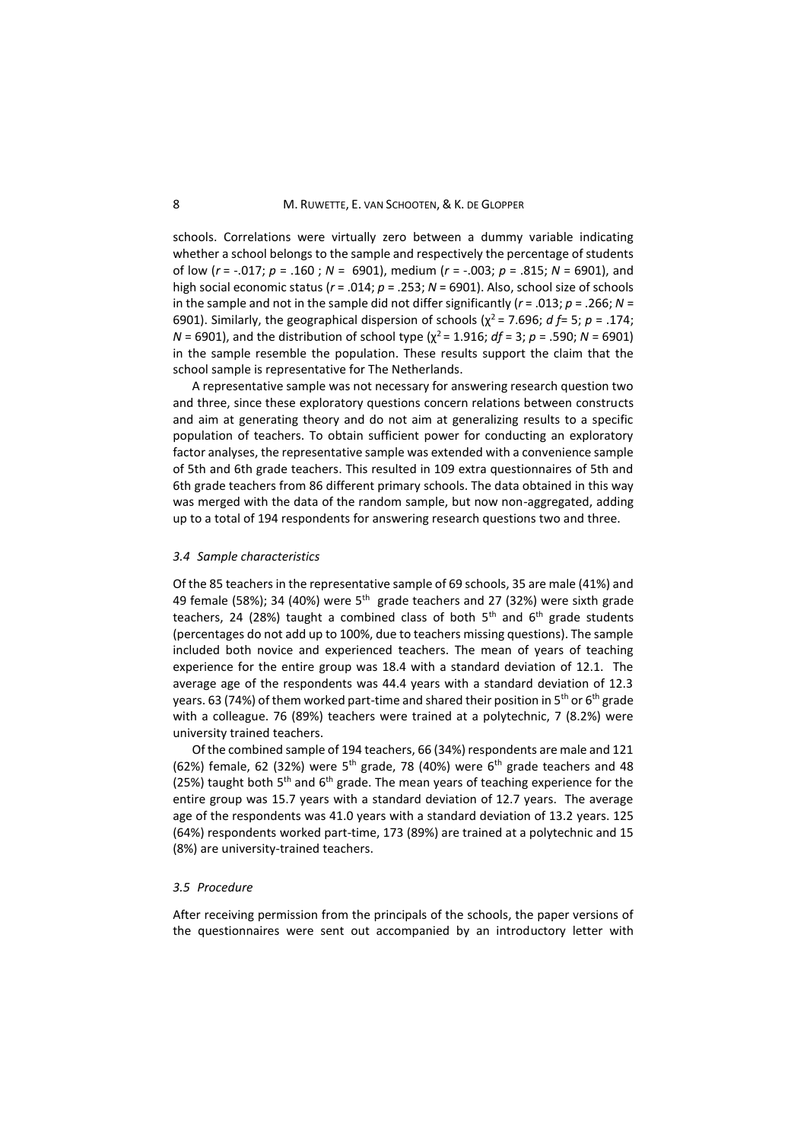schools. Correlations were virtually zero between a dummy variable indicating whether a school belongs to the sample and respectively the percentage of students of low (*r* = -.017; *p* = .160 ; *N* = 6901), medium (*r* = -.003; *p* = .815; *N* = 6901), and high social economic status (*r* = .014; *p* = .253; *N* = 6901). Also, school size of schools in the sample and not in the sample did not differ significantly (*r* = .013; *p* = .266; *N* = 6901). Similarly, the geographical dispersion of schools ( $\chi^2$  = 7.696; *d f* = 5; *p* = .174;  $N = 6901$ , and the distribution of school type ( $\chi^2$  = 1.916; *df* = 3; *p* = .590; *N* = 6901) in the sample resemble the population. These results support the claim that the school sample is representative for The Netherlands.

A representative sample was not necessary for answering research question two and three, since these exploratory questions concern relations between constructs and aim at generating theory and do not aim at generalizing results to a specific population of teachers. To obtain sufficient power for conducting an exploratory factor analyses, the representative sample was extended with a convenience sample of 5th and 6th grade teachers. This resulted in 109 extra questionnaires of 5th and 6th grade teachers from 86 different primary schools. The data obtained in this way was merged with the data of the random sample, but now non-aggregated, adding up to a total of 194 respondents for answering research questions two and three.

#### *3.4 Sample characteristics*

Of the 85 teachers in the representative sample of 69 schools, 35 are male (41%) and 49 female (58%); 34 (40%) were  $5<sup>th</sup>$  grade teachers and 27 (32%) were sixth grade teachers, 24 (28%) taught a combined class of both  $5<sup>th</sup>$  and  $6<sup>th</sup>$  grade students (percentages do not add up to 100%, due to teachers missing questions). The sample included both novice and experienced teachers. The mean of years of teaching experience for the entire group was 18.4 with a standard deviation of 12.1. The average age of the respondents was 44.4 years with a standard deviation of 12.3 years. 63 (74%) of them worked part-time and shared their position in  $5<sup>th</sup>$  or  $6<sup>th</sup>$  grade with a colleague. 76 (89%) teachers were trained at a polytechnic, 7 (8.2%) were university trained teachers.

Of the combined sample of 194 teachers, 66 (34%) respondents are male and 121 (62%) female, 62 (32%) were  $5<sup>th</sup>$  grade, 78 (40%) were  $6<sup>th</sup>$  grade teachers and 48 (25%) taught both  $5<sup>th</sup>$  and  $6<sup>th</sup>$  grade. The mean years of teaching experience for the entire group was 15.7 years with a standard deviation of 12.7 years. The average age of the respondents was 41.0 years with a standard deviation of 13.2 years. 125 (64%) respondents worked part-time, 173 (89%) are trained at a polytechnic and 15 (8%) are university-trained teachers.

### *3.5 Procedure*

After receiving permission from the principals of the schools, the paper versions of the questionnaires were sent out accompanied by an introductory letter with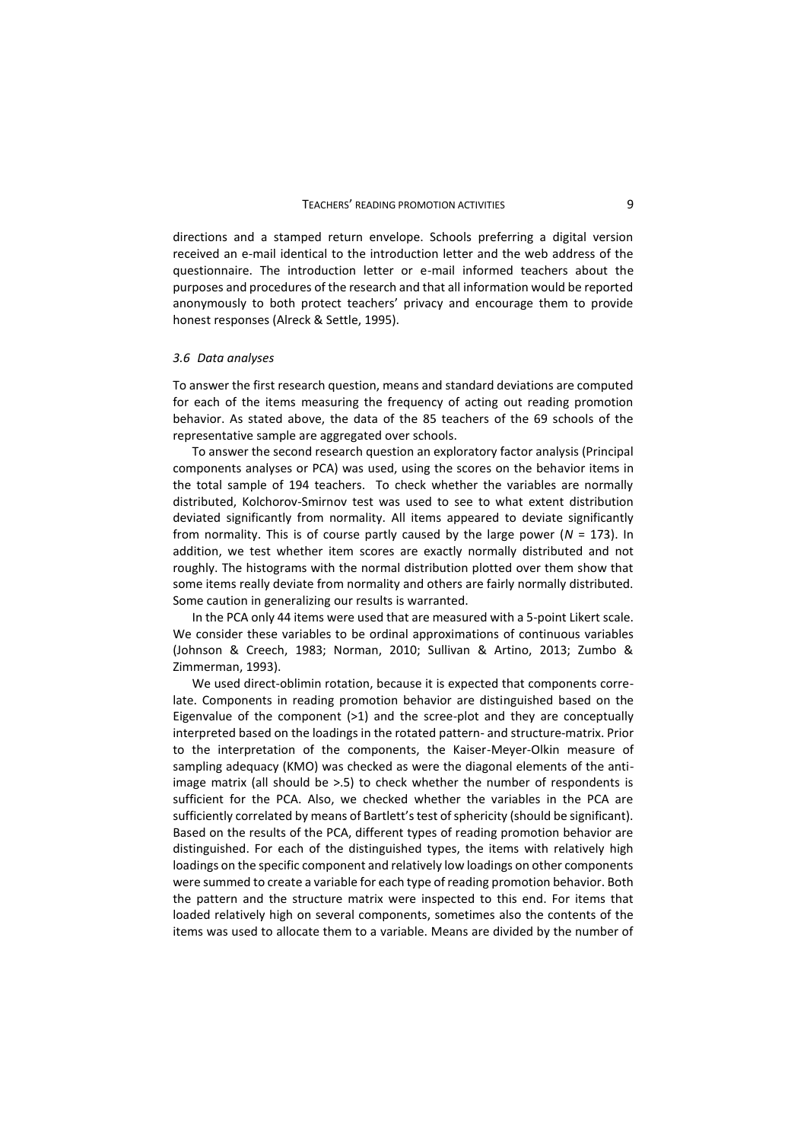directions and a stamped return envelope. Schools preferring a digital version received an e-mail identical to the introduction letter and the web address of the questionnaire. The introduction letter or e-mail informed teachers about the purposes and procedures of the research and that all information would be reported anonymously to both protect teachers' privacy and encourage them to provide honest responses (Alreck & Settle, 1995).

#### *3.6 Data analyses*

To answer the first research question, means and standard deviations are computed for each of the items measuring the frequency of acting out reading promotion behavior. As stated above, the data of the 85 teachers of the 69 schools of the representative sample are aggregated over schools.

To answer the second research question an exploratory factor analysis (Principal components analyses or PCA) was used, using the scores on the behavior items in the total sample of 194 teachers. To check whether the variables are normally distributed, Kolchorov-Smirnov test was used to see to what extent distribution deviated significantly from normality. All items appeared to deviate significantly from normality. This is of course partly caused by the large power (*N* = 173). In addition, we test whether item scores are exactly normally distributed and not roughly. The histograms with the normal distribution plotted over them show that some items really deviate from normality and others are fairly normally distributed. Some caution in generalizing our results is warranted.

In the PCA only 44 items were used that are measured with a 5-point Likert scale. We consider these variables to be ordinal approximations of continuous variables (Johnson & Creech, 1983; Norman, 2010; Sullivan & Artino, 2013; Zumbo & Zimmerman, 1993).

We used direct-oblimin rotation, because it is expected that components correlate. Components in reading promotion behavior are distinguished based on the Eigenvalue of the component (>1) and the scree-plot and they are conceptually interpreted based on the loadings in the rotated pattern- and structure-matrix. Prior to the interpretation of the components, the Kaiser-Meyer-Olkin measure of sampling adequacy (KMO) was checked as were the diagonal elements of the antiimage matrix (all should be >.5) to check whether the number of respondents is sufficient for the PCA. Also, we checked whether the variables in the PCA are sufficiently correlated by means of Bartlett's test of sphericity (should be significant). Based on the results of the PCA, different types of reading promotion behavior are distinguished. For each of the distinguished types, the items with relatively high loadings on the specific component and relatively low loadings on other components were summed to create a variable for each type of reading promotion behavior. Both the pattern and the structure matrix were inspected to this end. For items that loaded relatively high on several components, sometimes also the contents of the items was used to allocate them to a variable. Means are divided by the number of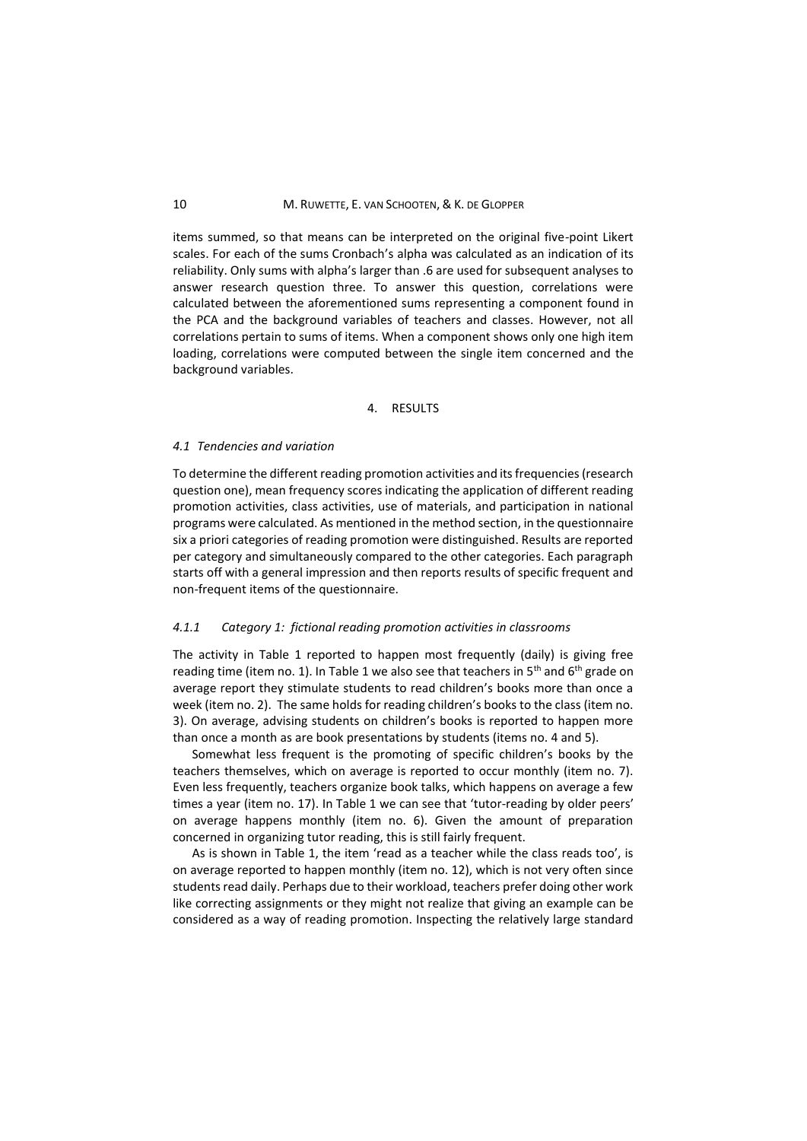### 10 M. RUWETTE, E. VAN SCHOOTEN, & K. DE GLOPPER

items summed, so that means can be interpreted on the original five-point Likert scales. For each of the sums Cronbach's alpha was calculated as an indication of its reliability. Only sums with alpha's larger than .6 are used for subsequent analyses to answer research question three. To answer this question, correlations were calculated between the aforementioned sums representing a component found in the PCA and the background variables of teachers and classes. However, not all correlations pertain to sums of items. When a component shows only one high item loading, correlations were computed between the single item concerned and the background variables.

### 4. RESULTS

#### *4.1 Tendencies and variation*

To determine the different reading promotion activities and its frequencies (research question one), mean frequency scores indicating the application of different reading promotion activities, class activities, use of materials, and participation in national programs were calculated. As mentioned in the method section, in the questionnaire six a priori categories of reading promotion were distinguished. Results are reported per category and simultaneously compared to the other categories. Each paragraph starts off with a general impression and then reports results of specific frequent and non-frequent items of the questionnaire.

### *4.1.1 Category 1: fictional reading promotion activities in classrooms*

The activity in Table 1 reported to happen most frequently (daily) is giving free reading time (item no. 1). In Table 1 we also see that teachers in  $5<sup>th</sup>$  and  $6<sup>th</sup>$  grade on average report they stimulate students to read children's books more than once a week (item no. 2). The same holds for reading children's books to the class (item no. 3). On average, advising students on children's books is reported to happen more than once a month as are book presentations by students (items no. 4 and 5).

Somewhat less frequent is the promoting of specific children's books by the teachers themselves, which on average is reported to occur monthly (item no. 7). Even less frequently, teachers organize book talks, which happens on average a few times a year (item no. 17). In Table 1 we can see that 'tutor-reading by older peers' on average happens monthly (item no. 6). Given the amount of preparation concerned in organizing tutor reading, this is still fairly frequent.

As is shown in Table 1, the item 'read as a teacher while the class reads too', is on average reported to happen monthly (item no. 12), which is not very often since students read daily. Perhaps due to their workload, teachers prefer doing other work like correcting assignments or they might not realize that giving an example can be considered as a way of reading promotion. Inspecting the relatively large standard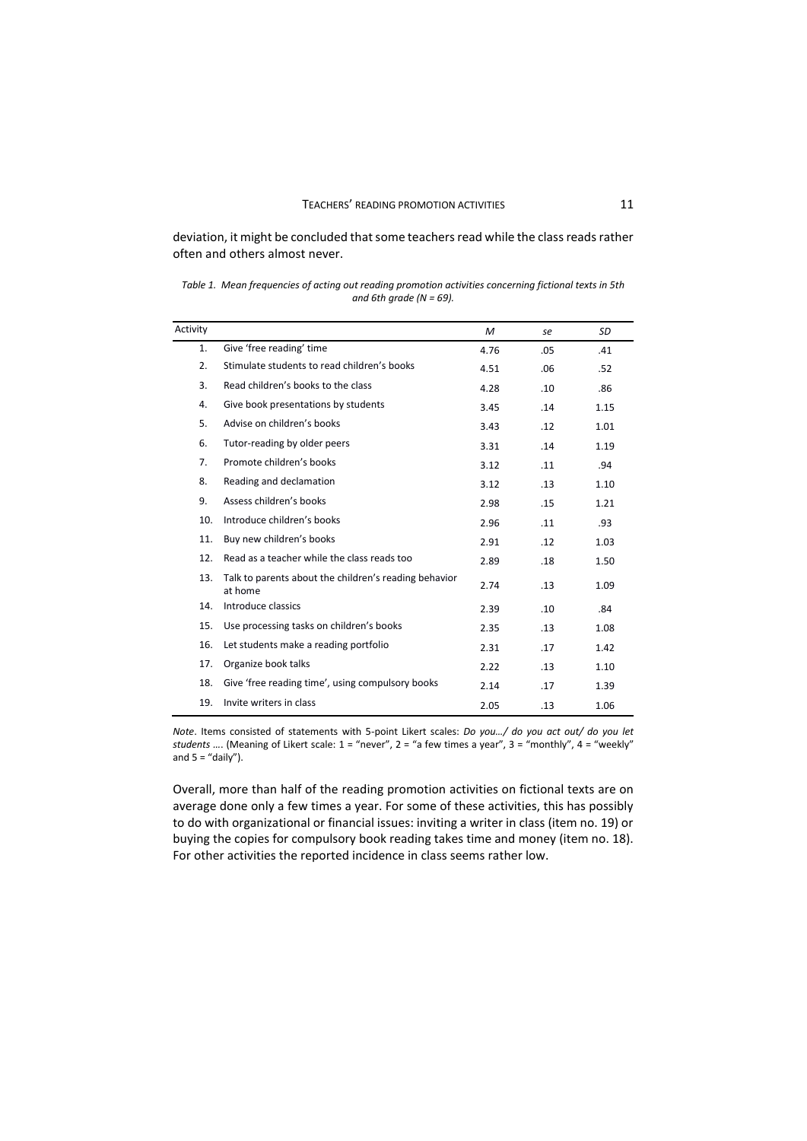deviation, it might be concluded that some teachers read while the class reads rather often and others almost never.

*Table 1. Mean frequencies of acting out reading promotion activities concerning fictional texts in 5th and 6th grade (N = 69).* 

| Activity |                                                                  | M    | se  | SD   |
|----------|------------------------------------------------------------------|------|-----|------|
| 1.       | Give 'free reading' time                                         | 4.76 | .05 | .41  |
| 2.       | Stimulate students to read children's books                      | 4.51 | .06 | .52  |
| 3.       | Read children's books to the class                               | 4.28 | .10 | .86  |
| 4.       | Give book presentations by students                              | 3.45 | .14 | 1.15 |
| 5.       | Advise on children's books                                       | 3.43 | .12 | 1.01 |
| 6.       | Tutor-reading by older peers                                     | 3.31 | .14 | 1.19 |
| 7.       | Promote children's books                                         | 3.12 | .11 | .94  |
| 8.       | Reading and declamation                                          | 3.12 | .13 | 1.10 |
| 9.       | Assess children's books                                          | 2.98 | .15 | 1.21 |
| 10.      | Introduce children's books                                       | 2.96 | .11 | .93  |
| 11.      | Buy new children's books                                         | 2.91 | .12 | 1.03 |
| 12.      | Read as a teacher while the class reads too                      | 2.89 | .18 | 1.50 |
| 13.      | Talk to parents about the children's reading behavior<br>at home | 2.74 | .13 | 1.09 |
| 14.      | Introduce classics                                               | 2.39 | .10 | .84  |
| 15.      | Use processing tasks on children's books                         | 2.35 | .13 | 1.08 |
| 16.      | Let students make a reading portfolio                            | 2.31 | .17 | 1.42 |
| 17.      | Organize book talks                                              | 2.22 | .13 | 1.10 |
| 18.      | Give 'free reading time', using compulsory books                 | 2.14 | .17 | 1.39 |
| 19.      | Invite writers in class                                          | 2.05 | .13 | 1.06 |

*Note*. Items consisted of statements with 5-point Likert scales: *Do you…/ do you act out/ do you let students …*. (Meaning of Likert scale: 1 = "never", 2 = "a few times a year", 3 = "monthly", 4 = "weekly" and  $5 =$  "daily").

Overall, more than half of the reading promotion activities on fictional texts are on average done only a few times a year. For some of these activities, this has possibly to do with organizational or financial issues: inviting a writer in class (item no. 19) or buying the copies for compulsory book reading takes time and money (item no. 18). For other activities the reported incidence in class seems rather low.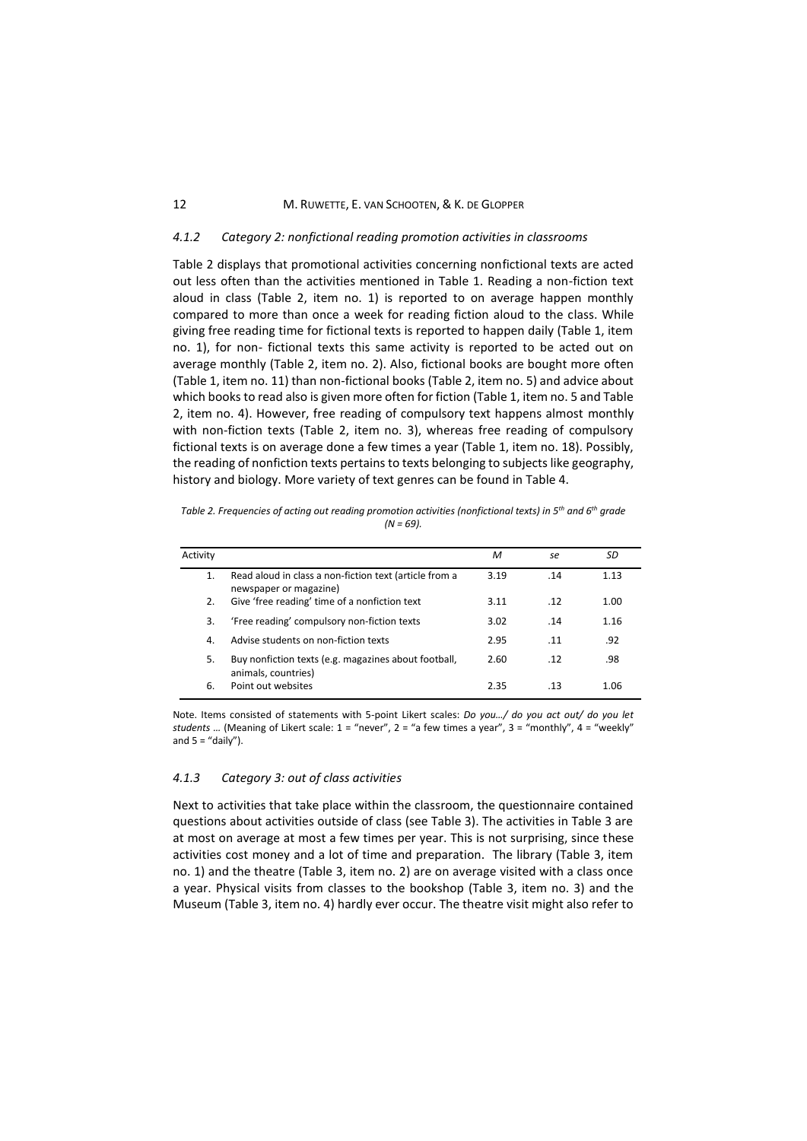#### 12 M. RUWETTE, E. VAN SCHOOTEN, & K. DE GLOPPER

### *4.1.2 Category 2: nonfictional reading promotion activities in classrooms*

Table 2 displays that promotional activities concerning nonfictional texts are acted out less often than the activities mentioned in Table 1. Reading a non-fiction text aloud in class (Table 2, item no. 1) is reported to on average happen monthly compared to more than once a week for reading fiction aloud to the class. While giving free reading time for fictional texts is reported to happen daily (Table 1, item no. 1), for non- fictional texts this same activity is reported to be acted out on average monthly (Table 2, item no. 2). Also, fictional books are bought more often (Table 1, item no. 11) than non-fictional books (Table 2, item no. 5) and advice about which books to read also is given more often for fiction (Table 1, item no. 5 and Table 2, item no. 4). However, free reading of compulsory text happens almost monthly with non-fiction texts (Table 2, item no. 3), whereas free reading of compulsory fictional texts is on average done a few times a year (Table 1, item no. 18). Possibly, the reading of nonfiction texts pertains to texts belonging to subjects like geography, history and biology. More variety of text genres can be found in Table 4.

| Table 2. Frequencies of acting out reading promotion activities (nonfictional texts) in 5 <sup>th</sup> and 6 <sup>th</sup> grade |  |
|-----------------------------------------------------------------------------------------------------------------------------------|--|
| $(N = 69)$ .                                                                                                                      |  |

| Activity |                                                                                  | М    | se  | SD   |
|----------|----------------------------------------------------------------------------------|------|-----|------|
| 1.       | Read aloud in class a non-fiction text (article from a<br>newspaper or magazine) | 3.19 | .14 | 1.13 |
| 2.       | Give 'free reading' time of a nonfiction text                                    | 3.11 | .12 | 1.00 |
| 3.       | 'Free reading' compulsory non-fiction texts                                      | 3.02 | .14 | 1.16 |
| 4.       | Advise students on non-fiction texts                                             | 2.95 | .11 | .92  |
| 5.       | Buy nonfiction texts (e.g. magazines about football,<br>animals, countries)      | 2.60 | .12 | .98  |
| 6.       | Point out websites                                                               | 2.35 | .13 | 1.06 |

Note. Items consisted of statements with 5-point Likert scales: *Do you…/ do you act out/ do you let students …* (Meaning of Likert scale: 1 = "never", 2 = "a few times a year", 3 = "monthly", 4 = "weekly" and  $5 =$  "daily").

### *4.1.3 Category 3: out of class activities*

Next to activities that take place within the classroom, the questionnaire contained questions about activities outside of class (see Table 3). The activities in Table 3 are at most on average at most a few times per year. This is not surprising, since these activities cost money and a lot of time and preparation. The library (Table 3, item no. 1) and the theatre (Table 3, item no. 2) are on average visited with a class once a year. Physical visits from classes to the bookshop (Table 3, item no. 3) and the Museum (Table 3, item no. 4) hardly ever occur. The theatre visit might also refer to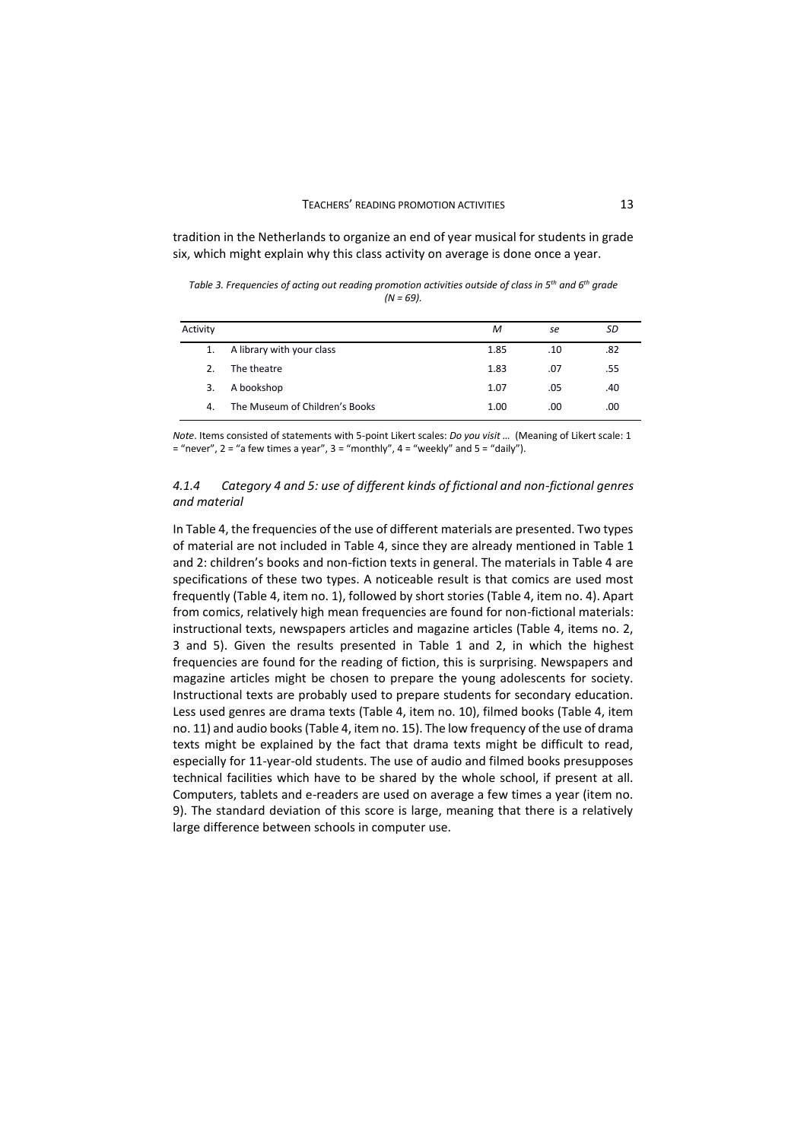tradition in the Netherlands to organize an end of year musical for students in grade six, which might explain why this class activity on average is done once a year.

*Table 3. Frequencies of acting out reading promotion activities outside of class in 5th and 6th grade (N = 69).*

| Activity |                                | M    | se  | SD  |
|----------|--------------------------------|------|-----|-----|
| 1.       | A library with your class      | 1.85 | .10 | .82 |
| 2.       | The theatre                    | 1.83 | .07 | .55 |
| 3.       | A bookshop                     | 1.07 | .05 | .40 |
| 4.       | The Museum of Children's Books | 1.00 | .00 | .00 |

*Note*. Items consisted of statements with 5-point Likert scales: *Do you visit …* (Meaning of Likert scale: 1  $=$  "never", 2 = "a few times a year", 3 = "monthly", 4 = "weekly" and 5 = "daily").

## *4.1.4 Category 4 and 5: use of different kinds of fictional and non-fictional genres and material*

In Table 4, the frequencies of the use of different materials are presented. Two types of material are not included in Table 4, since they are already mentioned in Table 1 and 2: children's books and non-fiction texts in general. The materials in Table 4 are specifications of these two types. A noticeable result is that comics are used most frequently (Table 4, item no. 1), followed by short stories (Table 4, item no. 4). Apart from comics, relatively high mean frequencies are found for non-fictional materials: instructional texts, newspapers articles and magazine articles (Table 4, items no. 2, 3 and 5). Given the results presented in Table 1 and 2, in which the highest frequencies are found for the reading of fiction, this is surprising. Newspapers and magazine articles might be chosen to prepare the young adolescents for society. Instructional texts are probably used to prepare students for secondary education. Less used genres are drama texts (Table 4, item no. 10), filmed books (Table 4, item no. 11) and audio books (Table 4, item no. 15). The low frequency of the use of drama texts might be explained by the fact that drama texts might be difficult to read, especially for 11-year-old students. The use of audio and filmed books presupposes technical facilities which have to be shared by the whole school, if present at all. Computers, tablets and e-readers are used on average a few times a year (item no. 9). The standard deviation of this score is large, meaning that there is a relatively large difference between schools in computer use.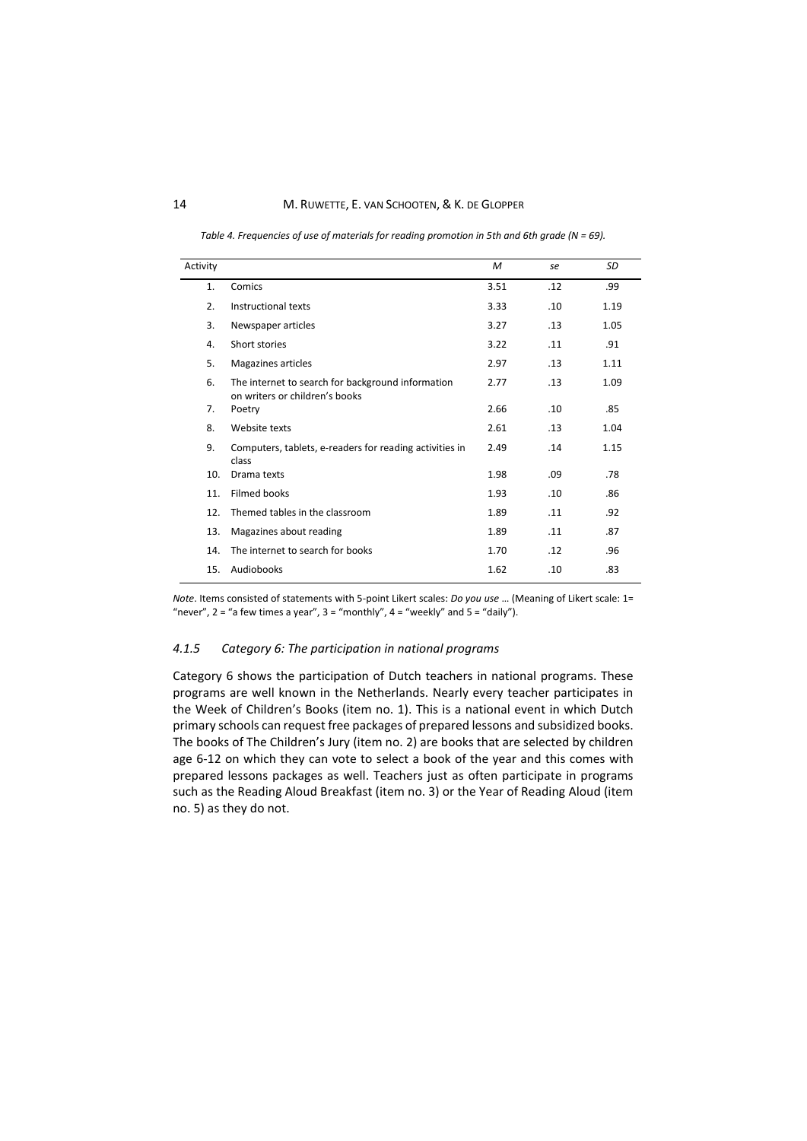### 14 M. RUWETTE, E. VAN SCHOOTEN, & K. DE GLOPPER

*Table 4. Frequencies of use of materials for reading promotion in 5th and 6th grade (N = 69).* 

| Activity |                                                                                     | M    | se  | SD   |
|----------|-------------------------------------------------------------------------------------|------|-----|------|
| 1.       | Comics                                                                              | 3.51 | .12 | .99  |
| 2.       | Instructional texts                                                                 | 3.33 | .10 | 1.19 |
| 3.       | Newspaper articles                                                                  | 3.27 | .13 | 1.05 |
| 4.       | Short stories                                                                       | 3.22 | .11 | .91  |
| 5.       | Magazines articles                                                                  | 2.97 | .13 | 1.11 |
| 6.       | The internet to search for background information<br>on writers or children's books | 2.77 | .13 | 1.09 |
| 7.       | Poetry                                                                              | 2.66 | .10 | .85  |
| 8.       | Website texts                                                                       | 2.61 | .13 | 1.04 |
| 9.       | Computers, tablets, e-readers for reading activities in<br>class                    | 2.49 | .14 | 1.15 |
| 10.      | Drama texts                                                                         | 1.98 | .09 | .78  |
| 11.      | <b>Filmed books</b>                                                                 | 1.93 | .10 | .86  |
| 12.      | Themed tables in the classroom                                                      | 1.89 | .11 | .92  |
| 13.      | Magazines about reading                                                             | 1.89 | .11 | .87  |
| 14.      | The internet to search for books                                                    | 1.70 | .12 | .96  |
| 15.      | Audiobooks                                                                          | 1.62 | .10 | .83  |

*Note*. Items consisted of statements with 5-point Likert scales: *Do you use* … (Meaning of Likert scale: 1= "never",  $2 =$  "a few times a year",  $3 =$  "monthly",  $4 =$  "weekly" and  $5 =$  "daily").

### *4.1.5 Category 6: The participation in national programs*

Category 6 shows the participation of Dutch teachers in national programs. These programs are well known in the Netherlands. Nearly every teacher participates in the Week of Children's Books (item no. 1). This is a national event in which Dutch primary schools can request free packages of prepared lessons and subsidized books. The books of The Children's Jury (item no. 2) are books that are selected by children age 6-12 on which they can vote to select a book of the year and this comes with prepared lessons packages as well. Teachers just as often participate in programs such as the Reading Aloud Breakfast (item no. 3) or the Year of Reading Aloud (item no. 5) as they do not.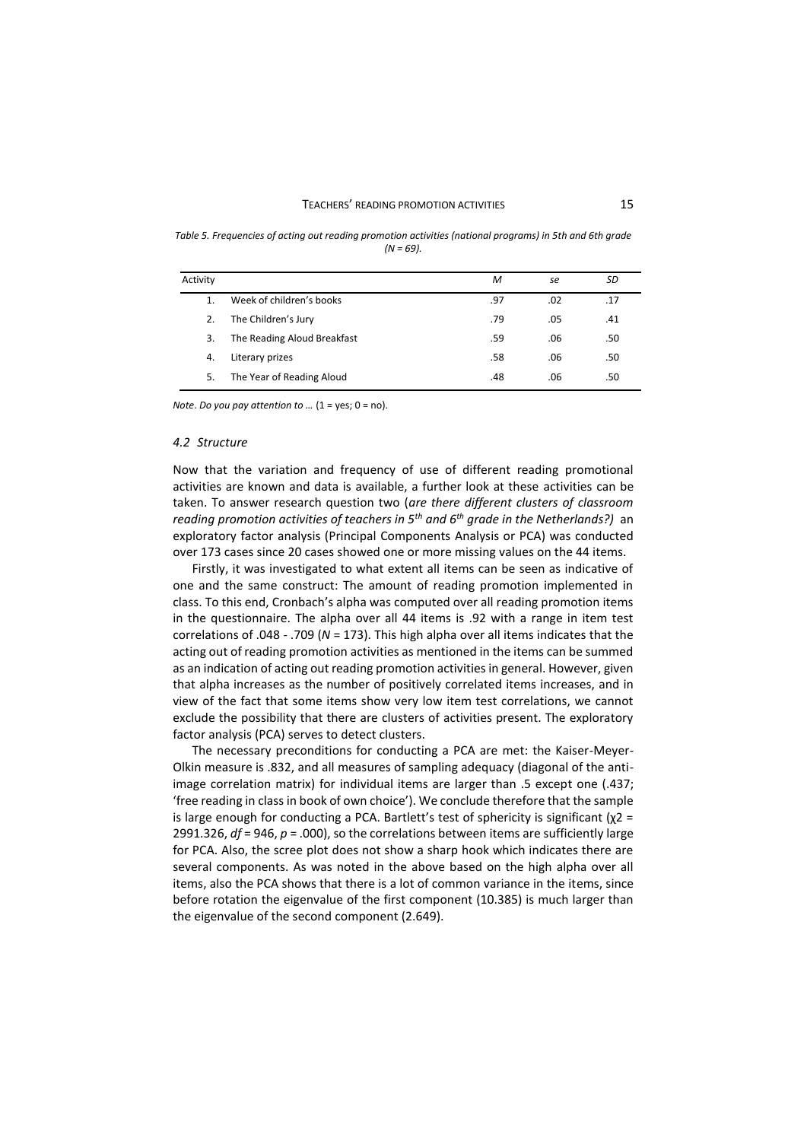#### TEACHERS' READING PROMOTION ACTIVITIES 15

*Table 5. Frequencies of acting out reading promotion activities (national programs) in 5th and 6th grade*   $(N = 69)$ 

| Activity |                             | M   | se  | SD  |
|----------|-----------------------------|-----|-----|-----|
|          | Week of children's books    | .97 | .02 | .17 |
| 2.       | The Children's Jury         | .79 | .05 | .41 |
| 3.       | The Reading Aloud Breakfast | .59 | .06 | .50 |
| 4.       | Literary prizes             | .58 | .06 | .50 |
| 5.       | The Year of Reading Aloud   | .48 | .06 | .50 |

*Note*. *Do you pay attention to …* (1 = yes; 0 = no).

### *4.2 Structure*

Now that the variation and frequency of use of different reading promotional activities are known and data is available, a further look at these activities can be taken. To answer research question two (*are there different clusters of classroom reading promotion activities of teachers in 5th and 6th grade in the Netherlands?)* an exploratory factor analysis (Principal Components Analysis or PCA) was conducted over 173 cases since 20 cases showed one or more missing values on the 44 items.

Firstly, it was investigated to what extent all items can be seen as indicative of one and the same construct: The amount of reading promotion implemented in class. To this end, Cronbach's alpha was computed over all reading promotion items in the questionnaire. The alpha over all 44 items is .92 with a range in item test correlations of .048 - .709 (*N* = 173). This high alpha over all items indicates that the acting out of reading promotion activities as mentioned in the items can be summed as an indication of acting out reading promotion activities in general. However, given that alpha increases as the number of positively correlated items increases, and in view of the fact that some items show very low item test correlations, we cannot exclude the possibility that there are clusters of activities present. The exploratory factor analysis (PCA) serves to detect clusters.

The necessary preconditions for conducting a PCA are met: the Kaiser-Meyer-Olkin measure is .832, and all measures of sampling adequacy (diagonal of the antiimage correlation matrix) for individual items are larger than .5 except one (.437; 'free reading in class in book of own choice'). We conclude therefore that the sample is large enough for conducting a PCA. Bartlett's test of sphericity is significant ( $\chi$ 2 = 2991.326, *df* = 946, *p* = .000), so the correlations between items are sufficiently large for PCA. Also, the scree plot does not show a sharp hook which indicates there are several components. As was noted in the above based on the high alpha over all items, also the PCA shows that there is a lot of common variance in the items, since before rotation the eigenvalue of the first component (10.385) is much larger than the eigenvalue of the second component (2.649).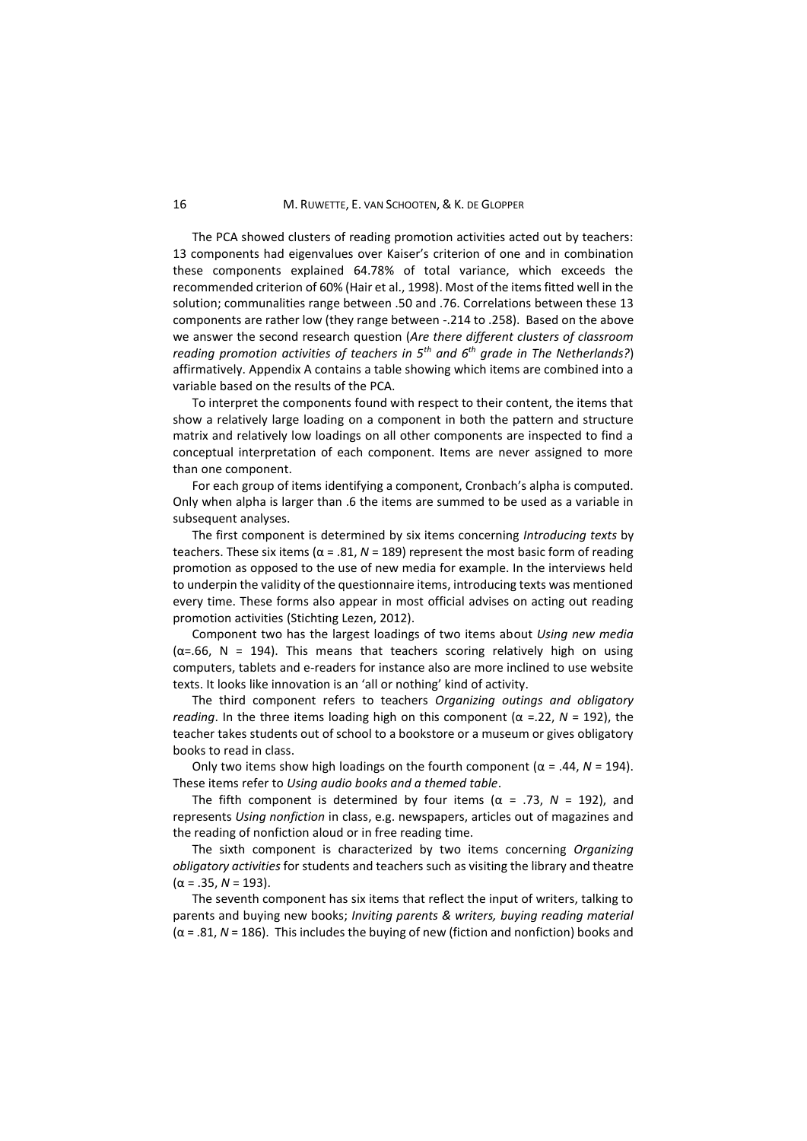The PCA showed clusters of reading promotion activities acted out by teachers: 13 components had eigenvalues over Kaiser's criterion of one and in combination these components explained 64.78% of total variance, which exceeds the recommended criterion of 60% (Hair et al., 1998). Most of the items fitted well in the solution; communalities range between .50 and .76. Correlations between these 13 components are rather low (they range between -.214 to .258). Based on the above we answer the second research question (*Are there different clusters of classroom reading promotion activities of teachers in 5th and 6th grade in The Netherlands?*) affirmatively. Appendix A contains a table showing which items are combined into a variable based on the results of the PCA.

To interpret the components found with respect to their content, the items that show a relatively large loading on a component in both the pattern and structure matrix and relatively low loadings on all other components are inspected to find a conceptual interpretation of each component. Items are never assigned to more than one component.

For each group of items identifying a component, Cronbach's alpha is computed. Only when alpha is larger than .6 the items are summed to be used as a variable in subsequent analyses.

The first component is determined by six items concerning *Introducing texts* by teachers. These six items ( $α = .81$ ,  $N = 189$ ) represent the most basic form of reading promotion as opposed to the use of new media for example. In the interviews held to underpin the validity of the questionnaire items, introducing texts was mentioned every time. These forms also appear in most official advises on acting out reading promotion activities (Stichting Lezen, 2012).

Component two has the largest loadings of two items about *Using new media*  $(\alpha = .66, N = 194)$ . This means that teachers scoring relatively high on using computers, tablets and e-readers for instance also are more inclined to use website texts. It looks like innovation is an 'all or nothing' kind of activity.

The third component refers to teachers *Organizing outings and obligatory reading*. In the three items loading high on this component ( $\alpha$  =.22,  $N$  = 192), the teacher takes students out of school to a bookstore or a museum or gives obligatory books to read in class.

Only two items show high loadings on the fourth component (α = .44, *N* = 194). These items refer to *Using audio books and a themed table*.

The fifth component is determined by four items ( $\alpha$  = .73,  $N$  = 192), and represents *Using nonfiction* in class, e.g. newspapers, articles out of magazines and the reading of nonfiction aloud or in free reading time.

The sixth component is characterized by two items concerning *Organizing obligatory activities* for students and teachers such as visiting the library and theatre  $(\alpha = .35, N = 193).$ 

The seventh component has six items that reflect the input of writers, talking to parents and buying new books; *Inviting parents & writers, buying reading material* (α = .81, *N* = 186). This includes the buying of new (fiction and nonfiction) books and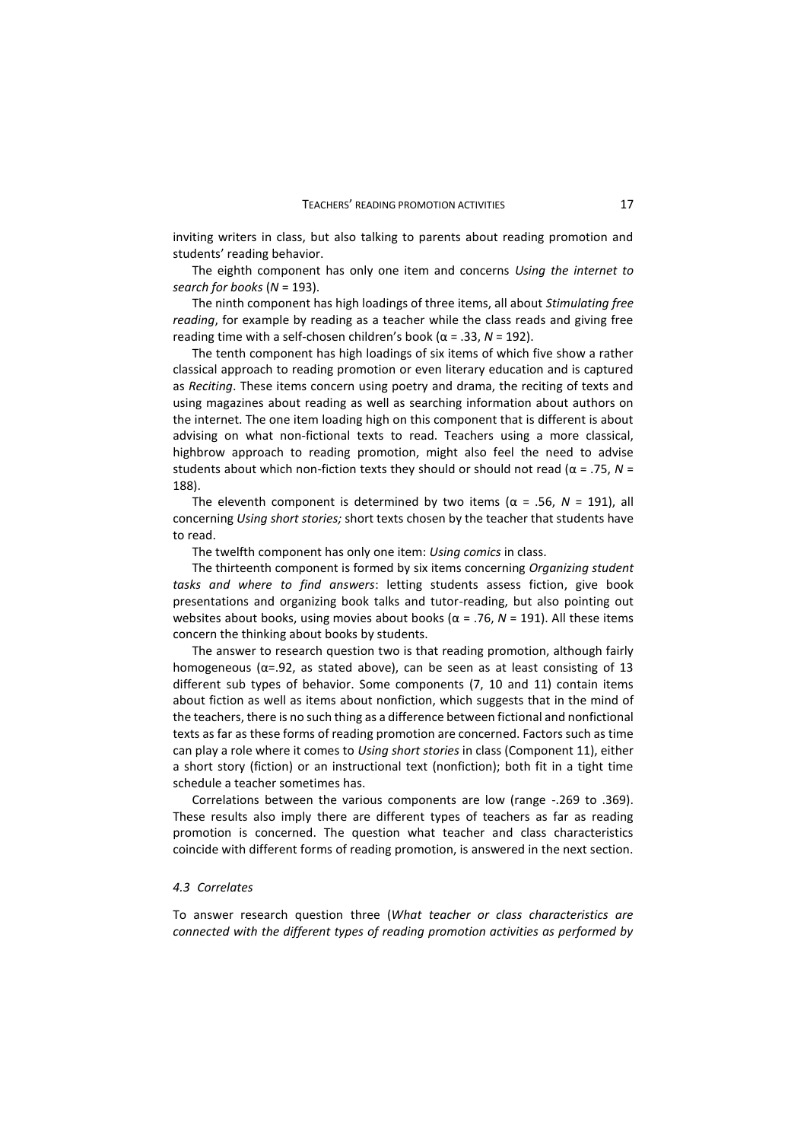inviting writers in class, but also talking to parents about reading promotion and students' reading behavior.

The eighth component has only one item and concerns *Using the internet to search for books* (*N* = 193).

The ninth component has high loadings of three items, all about *Stimulating free reading*, for example by reading as a teacher while the class reads and giving free reading time with a self-chosen children's book (α = .33, *N* = 192).

The tenth component has high loadings of six items of which five show a rather classical approach to reading promotion or even literary education and is captured as *Reciting*. These items concern using poetry and drama, the reciting of texts and using magazines about reading as well as searching information about authors on the internet. The one item loading high on this component that is different is about advising on what non-fictional texts to read. Teachers using a more classical, highbrow approach to reading promotion, might also feel the need to advise students about which non-fiction texts they should or should not read (α = .75, *N* = 188).

The eleventh component is determined by two items ( $\alpha$  = .56,  $N$  = 191), all concerning *Using short stories;* short texts chosen by the teacher that students have to read.

The twelfth component has only one item: *Using comics* in class.

The thirteenth component is formed by six items concerning *Organizing student tasks and where to find answers*: letting students assess fiction, give book presentations and organizing book talks and tutor-reading, but also pointing out websites about books, using movies about books (α = .76, *N* = 191). All these items concern the thinking about books by students.

The answer to research question two is that reading promotion, although fairly homogeneous ( $\alpha$ =.92, as stated above), can be seen as at least consisting of 13 different sub types of behavior. Some components (7, 10 and 11) contain items about fiction as well as items about nonfiction, which suggests that in the mind of the teachers, there is no such thing as a difference between fictional and nonfictional texts as far as these forms of reading promotion are concerned. Factors such as time can play a role where it comes to *Using short stories* in class (Component 11), either a short story (fiction) or an instructional text (nonfiction); both fit in a tight time schedule a teacher sometimes has.

Correlations between the various components are low (range -.269 to .369). These results also imply there are different types of teachers as far as reading promotion is concerned. The question what teacher and class characteristics coincide with different forms of reading promotion, is answered in the next section.

### *4.3 Correlates*

To answer research question three (*What teacher or class characteristics are connected with the different types of reading promotion activities as performed by*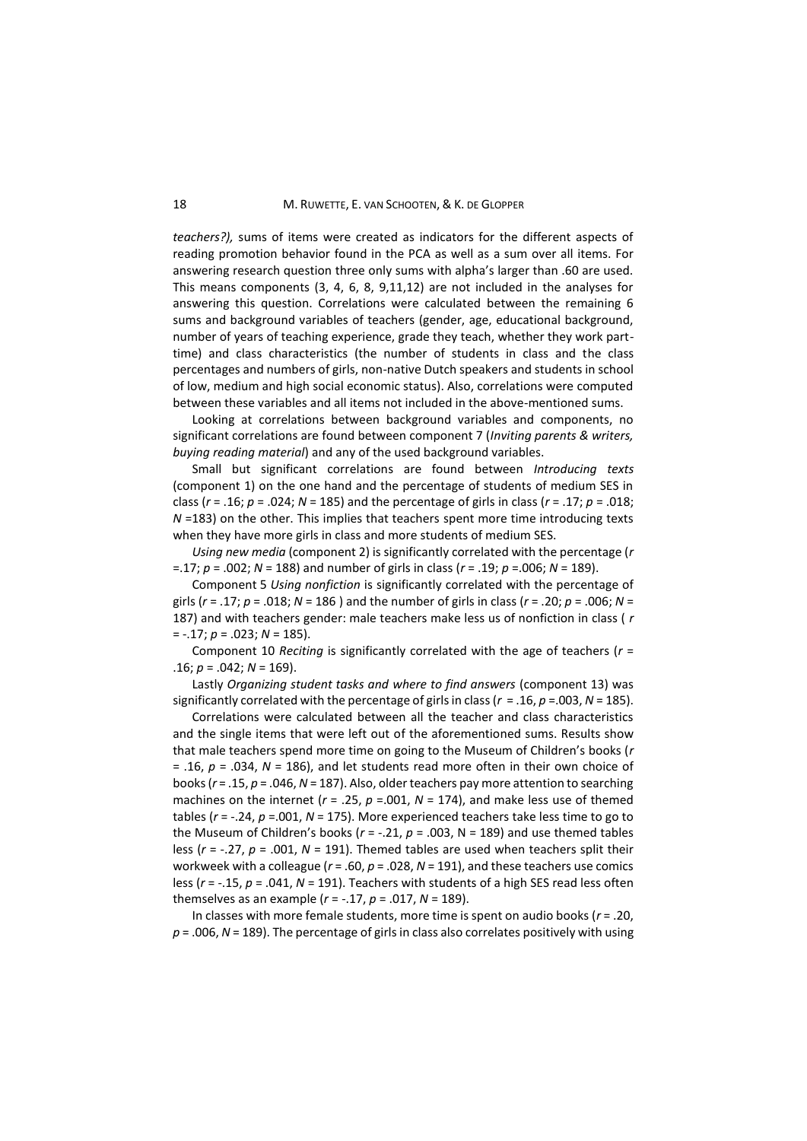*teachers?),* sums of items were created as indicators for the different aspects of reading promotion behavior found in the PCA as well as a sum over all items. For answering research question three only sums with alpha's larger than .60 are used. This means components (3, 4, 6, 8, 9,11,12) are not included in the analyses for answering this question. Correlations were calculated between the remaining 6 sums and background variables of teachers (gender, age, educational background, number of years of teaching experience, grade they teach, whether they work parttime) and class characteristics (the number of students in class and the class percentages and numbers of girls, non-native Dutch speakers and students in school of low, medium and high social economic status). Also, correlations were computed between these variables and all items not included in the above-mentioned sums.

Looking at correlations between background variables and components, no significant correlations are found between component 7 (*Inviting parents & writers, buying reading material*) and any of the used background variables.

Small but significant correlations are found between *Introducing texts* (component 1) on the one hand and the percentage of students of medium SES in class (*r* = .16; *p* = .024; *N* = 185) and the percentage of girls in class (*r* = .17; *p* = .018; *N* =183) on the other. This implies that teachers spent more time introducing texts when they have more girls in class and more students of medium SES.

*Using new media* (component 2) is significantly correlated with the percentage (*r* =.17; *p* = .002; *N* = 188) and number of girls in class (*r* = .19; *p* =.006; *N* = 189).

Component 5 *Using nonfiction* is significantly correlated with the percentage of girls (*r* = .17; *p* = .018; *N* = 186 ) and the number of girls in class (*r* = .20; *p* = .006; *N* = 187) and with teachers gender: male teachers make less us of nonfiction in class ( *r* = -.17; *p* = .023; *N* = 185).

Component 10 *Reciting* is significantly correlated with the age of teachers (*r* = .16; *p* = .042; *N* = 169).

Lastly *Organizing student tasks and where to find answers* (component 13) was significantly correlated with the percentage of girls in class (*r* = .16, *p* =.003, *N* = 185).

Correlations were calculated between all the teacher and class characteristics and the single items that were left out of the aforementioned sums. Results show that male teachers spend more time on going to the Museum of Children's books (*r* = .16, *p* = .034, *N* = 186), and let students read more often in their own choice of books (*r* = .15, *p* = .046, *N* = 187). Also, older teachers pay more attention to searching machines on the internet (*r* = .25, *p* =.001, *N* = 174), and make less use of themed tables (*r* = -.24, *p* =.001, *N* = 175). More experienced teachers take less time to go to the Museum of Children's books ( $r = -.21$ ,  $p = .003$ ,  $N = 189$ ) and use themed tables less (*r* = -.27, *p* = .001, *N* = 191). Themed tables are used when teachers split their workweek with a colleague (*r* = .60, *p* = .028, *N* = 191), and these teachers use comics less (*r* = -.15, *p* = .041, *N* = 191). Teachers with students of a high SES read less often themselves as an example (*r* = -.17, *p* = .017, *N* = 189).

In classes with more female students, more time is spent on audio books (*r* = .20, *p* = .006, *N* = 189). The percentage of girls in class also correlates positively with using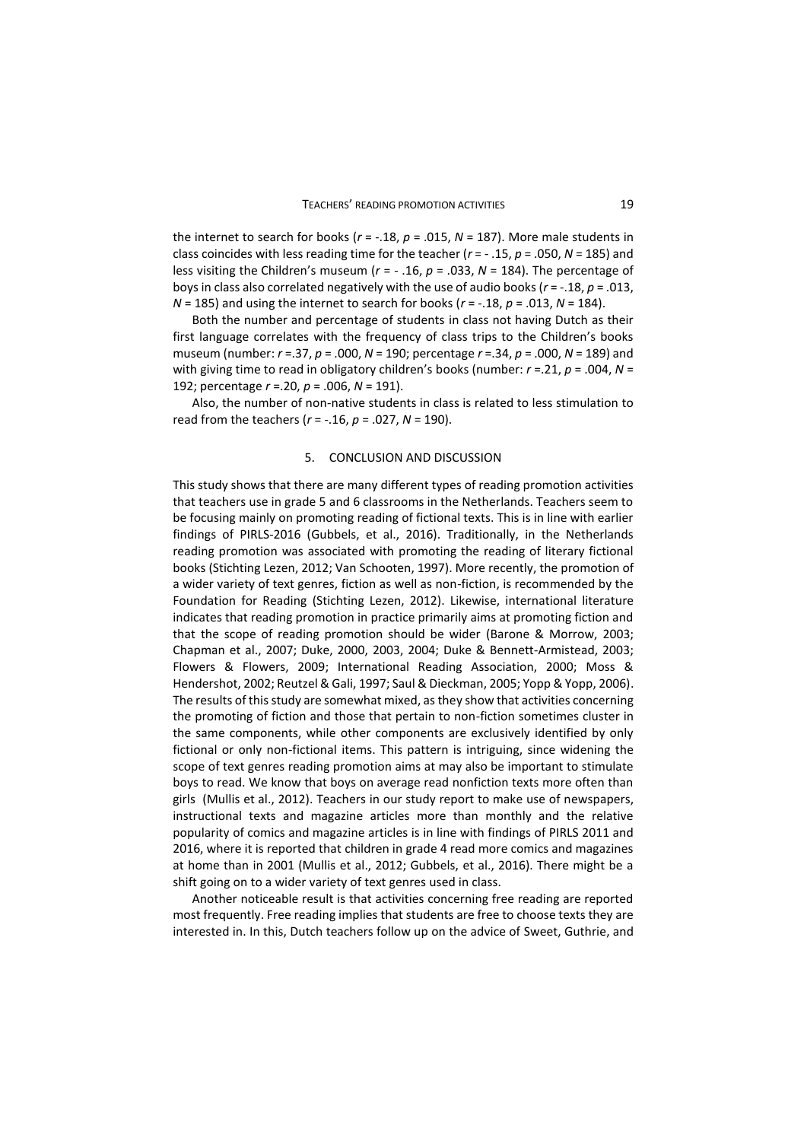the internet to search for books ( $r = -.18$ ,  $p = .015$ ,  $N = 187$ ). More male students in class coincides with less reading time for the teacher (*r* = - .15, *p* = .050, *N* = 185) and less visiting the Children's museum (*r* = - .16, *p* = .033, *N* = 184). The percentage of boys in class also correlated negatively with the use of audio books (*r* = -.18, *p* = .013, *N* = 185) and using the internet to search for books (*r* = -.18, *p* = .013, *N* = 184).

Both the number and percentage of students in class not having Dutch as their first language correlates with the frequency of class trips to the Children's books museum (number: *r* =.37, *p* = .000, *N* = 190; percentage *r* =.34, *p* = .000, *N* = 189) and with giving time to read in obligatory children's books (number: *r* =.21, *p* = .004, *N* = 192; percentage *r* =.20, *p* = .006, *N* = 191).

Also, the number of non-native students in class is related to less stimulation to read from the teachers (*r* = -.16, *p* = .027, *N* = 190).

### 5. CONCLUSION AND DISCUSSION

This study shows that there are many different types of reading promotion activities that teachers use in grade 5 and 6 classrooms in the Netherlands. Teachers seem to be focusing mainly on promoting reading of fictional texts. This is in line with earlier findings of PIRLS-2016 (Gubbels, et al., 2016). Traditionally, in the Netherlands reading promotion was associated with promoting the reading of literary fictional books (Stichting Lezen, 2012; Van Schooten, 1997). More recently, the promotion of a wider variety of text genres, fiction as well as non-fiction, is recommended by the Foundation for Reading (Stichting Lezen, 2012). Likewise, international literature indicates that reading promotion in practice primarily aims at promoting fiction and that the scope of reading promotion should be wider (Barone & Morrow, 2003; Chapman et al., 2007; Duke, 2000, 2003, 2004; Duke & Bennett-Armistead, 2003; Flowers & Flowers, 2009; International Reading Association, 2000; Moss & Hendershot, 2002; Reutzel & Gali, 1997; Saul & Dieckman, 2005; Yopp & Yopp, 2006). The results of this study are somewhat mixed, as they show that activities concerning the promoting of fiction and those that pertain to non-fiction sometimes cluster in the same components, while other components are exclusively identified by only fictional or only non-fictional items. This pattern is intriguing, since widening the scope of text genres reading promotion aims at may also be important to stimulate boys to read. We know that boys on average read nonfiction texts more often than girls (Mullis et al., 2012). Teachers in our study report to make use of newspapers, instructional texts and magazine articles more than monthly and the relative popularity of comics and magazine articles is in line with findings of PIRLS 2011 and 2016, where it is reported that children in grade 4 read more comics and magazines at home than in 2001 (Mullis et al., 2012; Gubbels, et al., 2016). There might be a shift going on to a wider variety of text genres used in class.

Another noticeable result is that activities concerning free reading are reported most frequently. Free reading implies that students are free to choose texts they are interested in. In this, Dutch teachers follow up on the advice of Sweet, Guthrie, and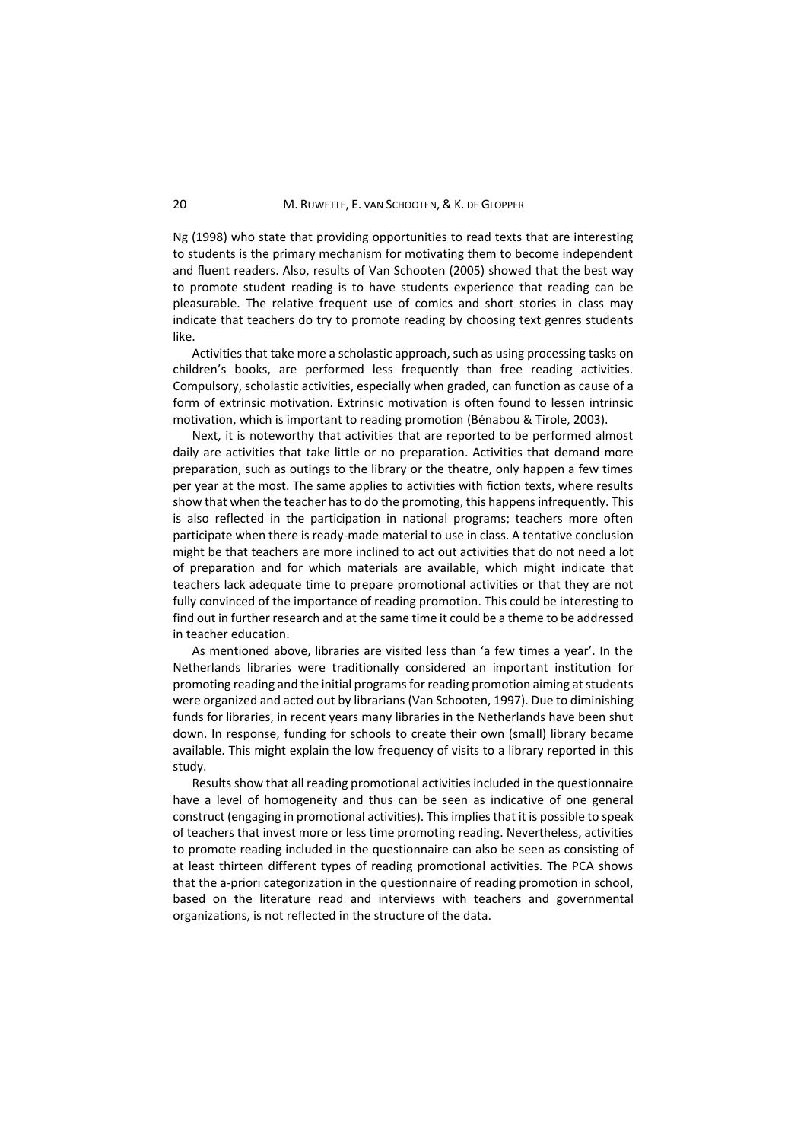Ng (1998) who state that providing opportunities to read texts that are interesting to students is the primary mechanism for motivating them to become independent and fluent readers. Also, results of Van Schooten (2005) showed that the best way to promote student reading is to have students experience that reading can be pleasurable. The relative frequent use of comics and short stories in class may indicate that teachers do try to promote reading by choosing text genres students like.

Activities that take more a scholastic approach, such as using processing tasks on children's books, are performed less frequently than free reading activities. Compulsory, scholastic activities, especially when graded, can function as cause of a form of extrinsic motivation. Extrinsic motivation is often found to lessen intrinsic motivation, which is important to reading promotion (Bénabou & Tirole, 2003).

Next, it is noteworthy that activities that are reported to be performed almost daily are activities that take little or no preparation. Activities that demand more preparation, such as outings to the library or the theatre, only happen a few times per year at the most. The same applies to activities with fiction texts, where results show that when the teacher has to do the promoting, this happens infrequently. This is also reflected in the participation in national programs; teachers more often participate when there is ready-made material to use in class. A tentative conclusion might be that teachers are more inclined to act out activities that do not need a lot of preparation and for which materials are available, which might indicate that teachers lack adequate time to prepare promotional activities or that they are not fully convinced of the importance of reading promotion. This could be interesting to find out in further research and at the same time it could be a theme to be addressed in teacher education.

As mentioned above, libraries are visited less than 'a few times a year'. In the Netherlands libraries were traditionally considered an important institution for promoting reading and the initial programs for reading promotion aiming at students were organized and acted out by librarians (Van Schooten, 1997). Due to diminishing funds for libraries, in recent years many libraries in the Netherlands have been shut down. In response, funding for schools to create their own (small) library became available. This might explain the low frequency of visits to a library reported in this study.

Results show that all reading promotional activities included in the questionnaire have a level of homogeneity and thus can be seen as indicative of one general construct (engaging in promotional activities). This implies that it is possible to speak of teachers that invest more or less time promoting reading. Nevertheless, activities to promote reading included in the questionnaire can also be seen as consisting of at least thirteen different types of reading promotional activities. The PCA shows that the a-priori categorization in the questionnaire of reading promotion in school, based on the literature read and interviews with teachers and governmental organizations, is not reflected in the structure of the data.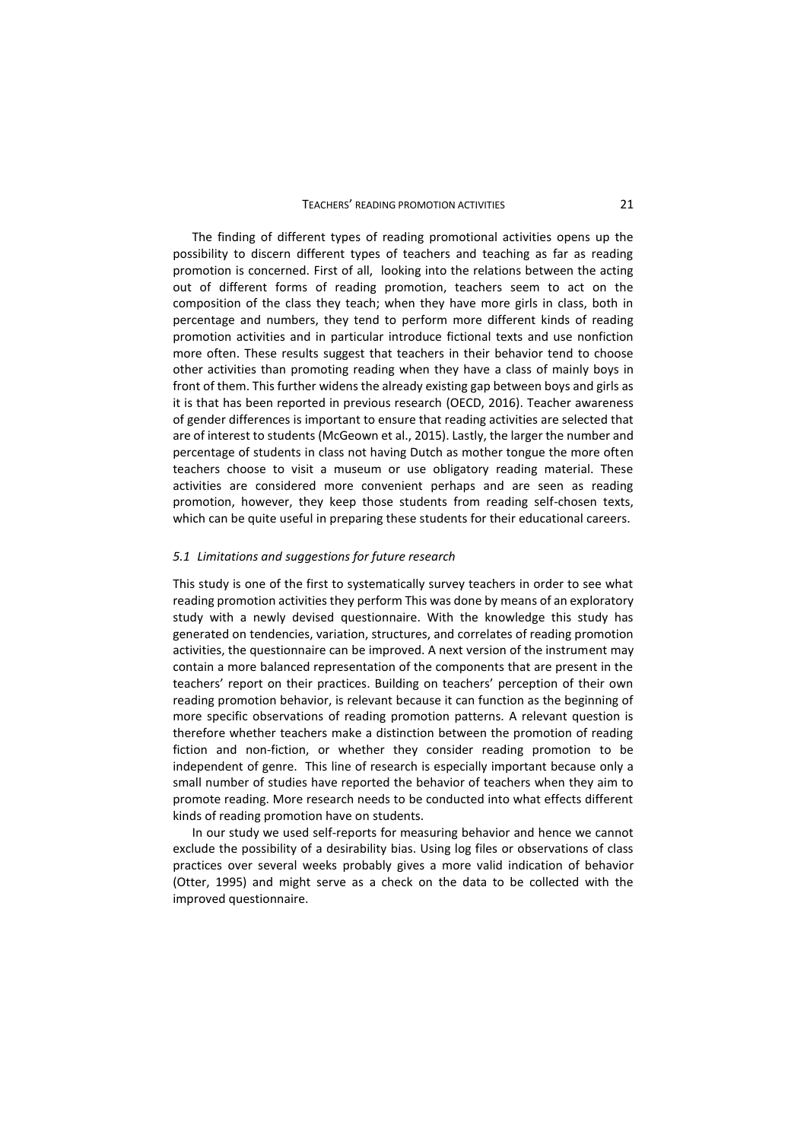#### TEACHERS' READING PROMOTION ACTIVITIES 21

The finding of different types of reading promotional activities opens up the possibility to discern different types of teachers and teaching as far as reading promotion is concerned. First of all, looking into the relations between the acting out of different forms of reading promotion, teachers seem to act on the composition of the class they teach; when they have more girls in class, both in percentage and numbers, they tend to perform more different kinds of reading promotion activities and in particular introduce fictional texts and use nonfiction more often. These results suggest that teachers in their behavior tend to choose other activities than promoting reading when they have a class of mainly boys in front of them. This further widens the already existing gap between boys and girls as it is that has been reported in previous research (OECD, 2016). Teacher awareness of gender differences is important to ensure that reading activities are selected that are of interest to students (McGeown et al., 2015). Lastly, the larger the number and percentage of students in class not having Dutch as mother tongue the more often teachers choose to visit a museum or use obligatory reading material. These activities are considered more convenient perhaps and are seen as reading promotion, however, they keep those students from reading self-chosen texts, which can be quite useful in preparing these students for their educational careers.

### *5.1 Limitations and suggestions for future research*

This study is one of the first to systematically survey teachers in order to see what reading promotion activities they perform This was done by means of an exploratory study with a newly devised questionnaire. With the knowledge this study has generated on tendencies, variation, structures, and correlates of reading promotion activities, the questionnaire can be improved. A next version of the instrument may contain a more balanced representation of the components that are present in the teachers' report on their practices. Building on teachers' perception of their own reading promotion behavior, is relevant because it can function as the beginning of more specific observations of reading promotion patterns. A relevant question is therefore whether teachers make a distinction between the promotion of reading fiction and non-fiction, or whether they consider reading promotion to be independent of genre. This line of research is especially important because only a small number of studies have reported the behavior of teachers when they aim to promote reading. More research needs to be conducted into what effects different kinds of reading promotion have on students.

In our study we used self-reports for measuring behavior and hence we cannot exclude the possibility of a desirability bias. Using log files or observations of class practices over several weeks probably gives a more valid indication of behavior (Otter, 1995) and might serve as a check on the data to be collected with the improved questionnaire.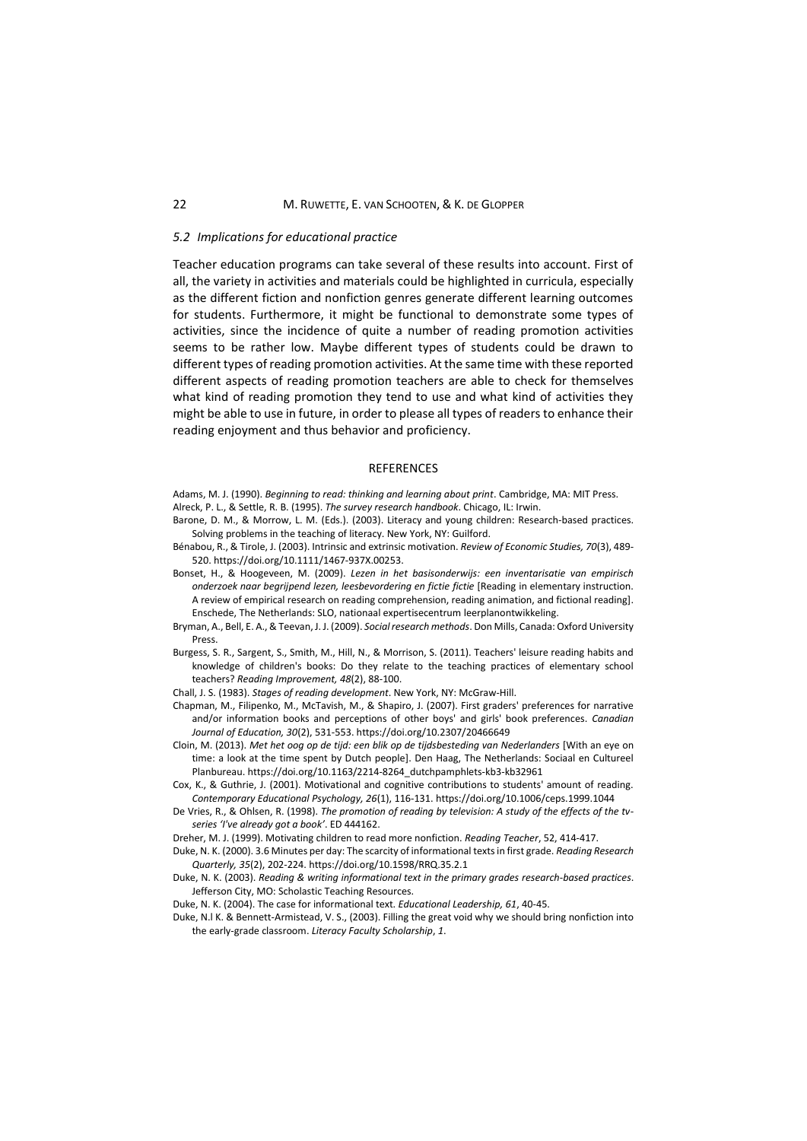#### *5.2 Implications for educational practice*

Teacher education programs can take several of these results into account. First of all, the variety in activities and materials could be highlighted in curricula, especially as the different fiction and nonfiction genres generate different learning outcomes for students. Furthermore, it might be functional to demonstrate some types of activities, since the incidence of quite a number of reading promotion activities seems to be rather low. Maybe different types of students could be drawn to different types of reading promotion activities. At the same time with these reported different aspects of reading promotion teachers are able to check for themselves what kind of reading promotion they tend to use and what kind of activities they might be able to use in future, in order to please all types of readers to enhance their reading enjoyment and thus behavior and proficiency.

### REFERENCES

Adams, M. J. (1990). *Beginning to read: thinking and learning about print*. Cambridge, MA: MIT Press. Alreck, P. L., & Settle, R. B. (1995). *The survey research handbook*. Chicago, IL: Irwin.

- Barone, D. M., & Morrow, L. M. (Eds.). (2003). Literacy and young children: Research-based practices. Solving problems in the teaching of literacy. New York, NY: Guilford.
- Bénabou, R., & Tirole, J. (2003). Intrinsic and extrinsic motivation. *Review of Economic Studies, 70*(3), 489- 520. https://doi.org/10.1111/1467-937X.00253.
- Bonset, H., & Hoogeveen, M. (2009). *Lezen in het basisonderwijs: een inventarisatie van empirisch onderzoek naar begrijpend lezen, leesbevordering en fictie fictie* [Reading in elementary instruction. A review of empirical research on reading comprehension, reading animation, and fictional reading]. Enschede, The Netherlands: SLO, nationaal expertisecentrum leerplanontwikkeling.
- Bryman, A., Bell, E. A., & Teevan, J. J. (2009). *Social research methods*. Don Mills, Canada: Oxford University Press.
- Burgess, S. R., Sargent, S., Smith, M., Hill, N., & Morrison, S. (2011). Teachers' leisure reading habits and knowledge of children's books: Do they relate to the teaching practices of elementary school teachers? *Reading Improvement, 48*(2), 88-100.
- Chall, J. S. (1983). *Stages of reading development*. New York, NY: McGraw-Hill.
- Chapman, M., Filipenko, M., McTavish, M., & Shapiro, J. (2007). First graders' preferences for narrative and/or information books and perceptions of other boys' and girls' book preferences. *Canadian Journal of Education, 30*(2), 531-553. https://doi.org/10.2307/20466649
- Cloin, M. (2013). *Met het oog op de tijd: een blik op de tijdsbesteding van Nederlanders* [With an eye on time: a look at the time spent by Dutch people]. Den Haag, The Netherlands: Sociaal en Cultureel Planbureau. https://doi.org/10.1163/2214-8264\_dutchpamphlets-kb3-kb32961
- Cox, K., & Guthrie, J. (2001). Motivational and cognitive contributions to students' amount of reading. *Contemporary Educational Psychology, 26*(1), 116-131. https://doi.org/10.1006/ceps.1999.1044
- De Vries, R., & Ohlsen, R. (1998). *The promotion of reading by television: A study of the effects of the tvseries 'I've already got a book'*. ED 444162.
- Dreher, M. J. (1999). Motivating children to read more nonfiction. *Reading Teacher*, 52, 414-417.

Duke, N. K. (2000). 3.6 Minutes per day: The scarcity of informational texts in first grade. *Reading Research Quarterly, 35*(2), 202-224. https://doi.org/10.1598/RRQ.35.2.1

Duke, N. K. (2003). *Reading & writing informational text in the primary grades research-based practices*. Jefferson City, MO: Scholastic Teaching Resources.

Duke, N. K. (2004). The case for informational text. *Educational Leadership, 61*, 40-45.

Duke, N.l K. & Bennett-Armistead, V. S., (2003). Filling the great void why we should bring nonfiction into the early-grade classroom. *Literacy Faculty Scholarship*, *1*.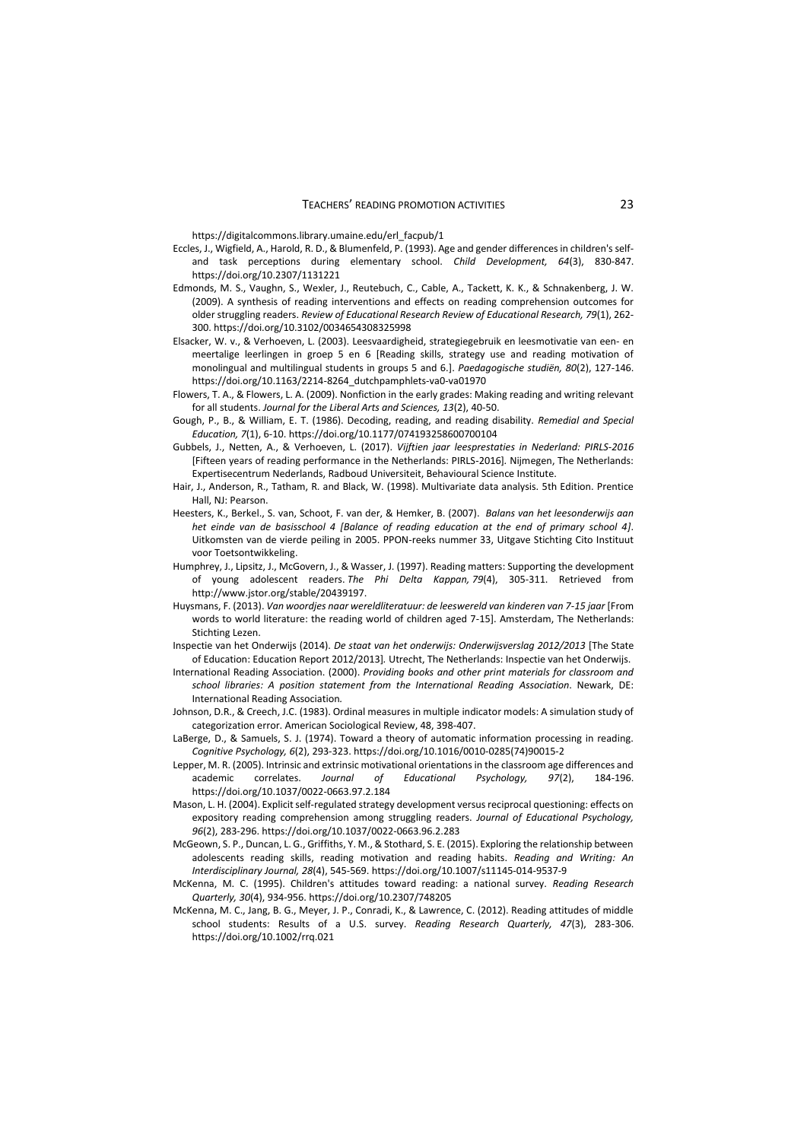https://digitalcommons.library.umaine.edu/erl\_facpub/1

- Eccles, J., Wigfield, A., Harold, R. D., & Blumenfeld, P. (1993). Age and gender differences in children's selfand task perceptions during elementary school. *Child Development, 64*(3), 830-847. https://doi.org/10.2307/1131221
- Edmonds, M. S., Vaughn, S., Wexler, J., Reutebuch, C., Cable, A., Tackett, K. K., & Schnakenberg, J. W. (2009). A synthesis of reading interventions and effects on reading comprehension outcomes for older struggling readers. *Review of Educational Research Review of Educational Research, 79*(1), 262- 300. https://doi.org/10.3102/0034654308325998
- Elsacker, W. v., & Verhoeven, L. (2003). Leesvaardigheid, strategiegebruik en leesmotivatie van een- en meertalige leerlingen in groep 5 en 6 [Reading skills, strategy use and reading motivation of monolingual and multilingual students in groups 5 and 6.]. *Paedagogische studiën, 80*(2), 127-146. https://doi.org/10.1163/2214-8264\_dutchpamphlets-va0-va01970
- Flowers, T. A., & Flowers, L. A. (2009). Nonfiction in the early grades: Making reading and writing relevant for all students. *Journal for the Liberal Arts and Sciences, 13*(2), 40-50.
- Gough, P., B., & William, E. T. (1986). Decoding, reading, and reading disability. *Remedial and Special Education, 7*(1), 6-10. https://doi.org/10.1177/074193258600700104
- Gubbels, J., Netten, A., & Verhoeven, L. (2017). *Vijftien jaar leesprestaties in Nederland: PIRLS-2016* [Fifteen years of reading performance in the Netherlands: PIRLS-2016]*.* Nijmegen, The Netherlands: Expertisecentrum Nederlands, Radboud Universiteit, Behavioural Science Institute.
- Hair, J., Anderson, R., Tatham, R. and Black, W. (1998). Multivariate data analysis. 5th Edition. Prentice Hall, NJ: Pearson.
- Heesters, K., Berkel., S. van, Schoot, F. van der, & Hemker, B. (2007). *Balans van het leesonderwijs aan het einde van de basisschool 4 [Balance of reading education at the end of primary school 4]*. Uitkomsten van de vierde peiling in 2005. PPON-reeks nummer 33, Uitgave Stichting Cito Instituut voor Toetsontwikkeling.
- Humphrey, J., Lipsitz, J., McGovern, J., & Wasser, J. (1997). Reading matters: Supporting the development of young adolescent readers. *The Phi Delta Kappan, 79*(4), 305-311. Retrieved from http://www.jstor.org/stable/20439197.
- Huysmans, F. (2013). *Van woordjes naar wereldliteratuur: de leeswereld van kinderen van 7-15 jaar* [From words to world literature: the reading world of children aged 7-15]. Amsterdam, The Netherlands: Stichting Lezen.
- Inspectie van het Onderwijs (2014). *De staat van het onderwijs: Onderwijsverslag 2012/2013* [The State of Education: Education Report 2012/2013]*.* Utrecht, The Netherlands: Inspectie van het Onderwijs.
- International Reading Association. (2000). *Providing books and other print materials for classroom and school libraries: A position statement from the International Reading Association*. Newark, DE: International Reading Association*.*
- Johnson, D.R., & Creech, J.C. (1983). Ordinal measures in multiple indicator models: A simulation study of categorization error. American Sociological Review, 48, 398-407.
- LaBerge, D., & Samuels, S. J. (1974). Toward a theory of automatic information processing in reading. *Cognitive Psychology, 6*(2), 293-323. https://doi.org/10.1016/0010-0285(74)90015-2
- Lepper, M. R. (2005). Intrinsic and extrinsic motivational orientations in the classroom age differences and academic correlates. *Journal of Educational Psychology, 97*(2), 184-196. <https://doi.org/10.1037/0022-0663.97.2.184>
- Mason, L. H. (2004). Explicit self-regulated strategy development versus reciprocal questioning: effects on expository reading comprehension among struggling readers. *Journal of Educational Psychology, 96*(2), 283-296. https://doi.org/10.1037/0022-0663.96.2.283
- McGeown, S. P., Duncan, L. G., Griffiths, Y. M., & Stothard, S. E. (2015). Exploring the relationship between adolescents reading skills, reading motivation and reading habits. *Reading and Writing: An Interdisciplinary Journal, 28*(4), 545-569. https://doi.org/10.1007/s11145-014-9537-9
- McKenna, M. C. (1995). Children's attitudes toward reading: a national survey. *Reading Research Quarterly, 30*(4), 934-956. https://doi.org/10.2307/748205
- McKenna, M. C., Jang, B. G., Meyer, J. P., Conradi, K., & Lawrence, C. (2012). Reading attitudes of middle school students: Results of a U.S. survey. *Reading Research Quarterly, 47*(3), 283-306. https://doi.org/10.1002/rrq.021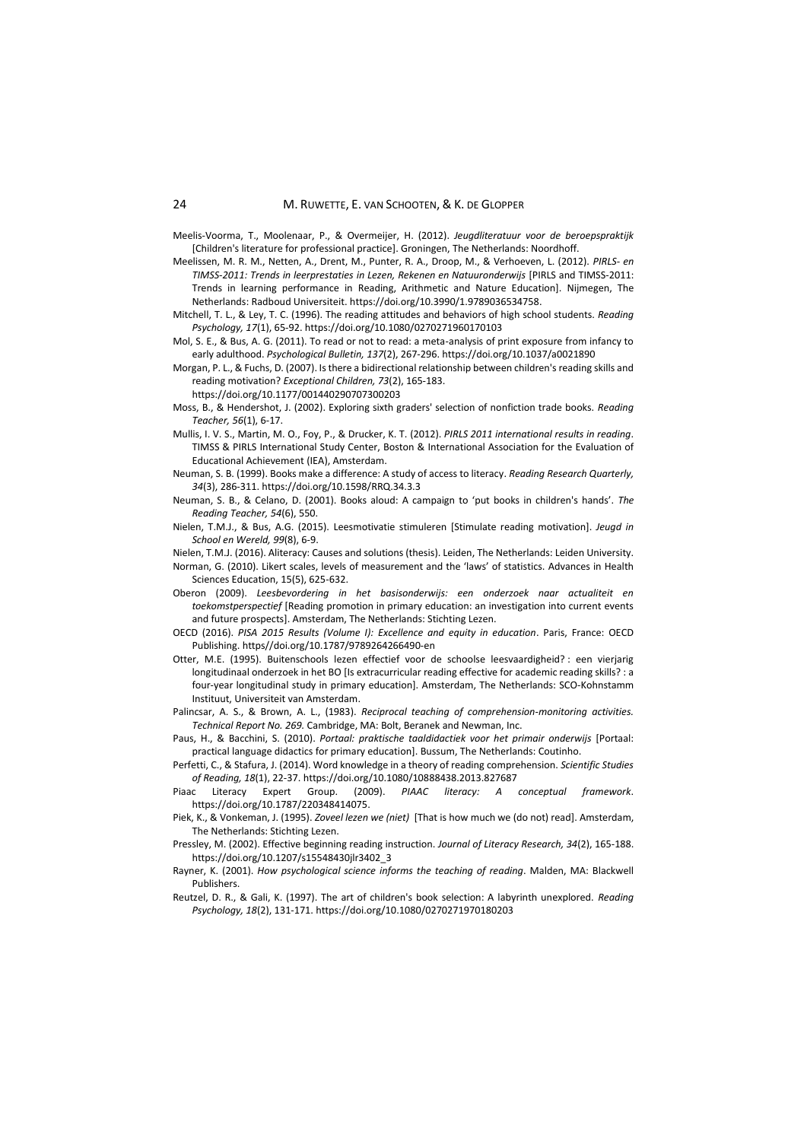Meelis-Voorma, T., Moolenaar, P., & Overmeijer, H. (2012). *Jeugdliteratuur voor de beroepspraktijk* [Children's literature for professional practice]. Groningen, The Netherlands: Noordhoff.

- Meelissen, M. R. M., Netten, A., Drent, M., Punter, R. A., Droop, M., & Verhoeven, L. (2012). *PIRLS- en TIMSS-2011: Trends in leerprestaties in Lezen, Rekenen en Natuuronderwijs* [PIRLS and TIMSS-2011: Trends in learning performance in Reading, Arithmetic and Nature Education]. Nijmegen, The Netherlands: Radboud Universiteit[. https://doi.org/10.3990/1.9789036534758.](https://doi.org/10.3990/1.9789036534758)
- Mitchell, T. L., & Ley, T. C. (1996). The reading attitudes and behaviors of high school students. *Reading Psychology, 17*(1), 65-92. https://doi.org/10.1080/0270271960170103
- Mol, S. E., & Bus, A. G. (2011). To read or not to read: a meta-analysis of print exposure from infancy to early adulthood. *Psychological Bulletin, 137*(2), 267-296. https://doi.org/10.1037/a0021890
- Morgan, P. L., & Fuchs, D. (2007). Is there a bidirectional relationship between children's reading skills and reading motivation? *Exceptional Children, 73*(2), 165-183.
	- https://doi.org/10.1177/001440290707300203
- Moss, B., & Hendershot, J. (2002). Exploring sixth graders' selection of nonfiction trade books. *Reading Teacher, 56*(1), 6-17.
- Mullis, I. V. S., Martin, M. O., Foy, P., & Drucker, K. T. (2012). *PIRLS 2011 international results in reading*. TIMSS & PIRLS International Study Center, Boston & International Association for the Evaluation of Educational Achievement (IEA), Amsterdam.
- Neuman, S. B. (1999). Books make a difference: A study of access to literacy. *Reading Research Quarterly, 34*(3), 286-311. https://doi.org/10.1598/RRQ.34.3.3
- Neuman, S. B., & Celano, D. (2001). Books aloud: A campaign to 'put books in children's hands'. *The Reading Teacher, 54*(6), 550.
- Nielen, T.M.J., & Bus, A.G. (2015). Leesmotivatie stimuleren [Stimulate reading motivation]. *Jeugd in School en Wereld, 99*(8), 6-9.
- Nielen, T.M.J. (2016). Aliteracy: Causes and solutions (thesis). Leiden, The Netherlands: Leiden University.
- Norman, G. (2010). Likert scales, levels of measurement and the 'laws' of statistics. Advances in Health Sciences Education, 15(5), 625-632.
- Oberon (2009). *Leesbevordering in het basisonderwijs: een onderzoek naar actualiteit en toekomstperspectief* [Reading promotion in primary education: an investigation into current events and future prospects]. Amsterdam, The Netherlands: Stichting Lezen.
- OECD (2016). *PISA 2015 Results (Volume I): Excellence and equity in education*. Paris, France: OECD Publishing. https//doi.org/10.1787/9789264266490-en
- Otter, M.E. (1995). Buitenschools lezen effectief voor de schoolse leesvaardigheid? : een vierjarig longitudinaal onderzoek in het BO [Is extracurricular reading effective for academic reading skills? : a four-year longitudinal study in primary education]. Amsterdam, The Netherlands: SCO-Kohnstamm Instituut, Universiteit van Amsterdam.
- Palincsar, A. S., & Brown, A. L., (1983). *Reciprocal teaching of comprehension-monitoring activities. Technical Report No. 269.* Cambridge, MA: Bolt, Beranek and Newman, Inc.
- Paus, H., & Bacchini, S. (2010). *Portaal: praktische taaldidactiek voor het primair onderwijs* [Portaal: practical language didactics for primary education]. Bussum, The Netherlands: Coutinho.
- Perfetti, C., & Stafura, J. (2014). Word knowledge in a theory of reading comprehension. *Scientific Studies of Reading, 18*(1), 22-37. https://doi.org/10.1080/10888438.2013.827687
- Literacy Expert Group. (2009). *PIAAC literacy: A conceptual framework*. https://doi.org/10.1787/220348414075.
- Piek, K., & Vonkeman, J. (1995). *Zoveel lezen we (niet)* [That is how much we (do not) read]. Amsterdam, The Netherlands: Stichting Lezen.
- Pressley, M. (2002). Effective beginning reading instruction. *Journal of Literacy Research, 34*(2), 165-188. https://doi.org/10.1207/s15548430jlr3402\_3
- Rayner, K. (2001). *How psychological science informs the teaching of reading*. Malden, MA: Blackwell Publishers.
- Reutzel, D. R., & Gali, K. (1997). The art of children's book selection: A labyrinth unexplored. *Reading Psychology, 18*(2), 131-171. https://doi.org/10.1080/0270271970180203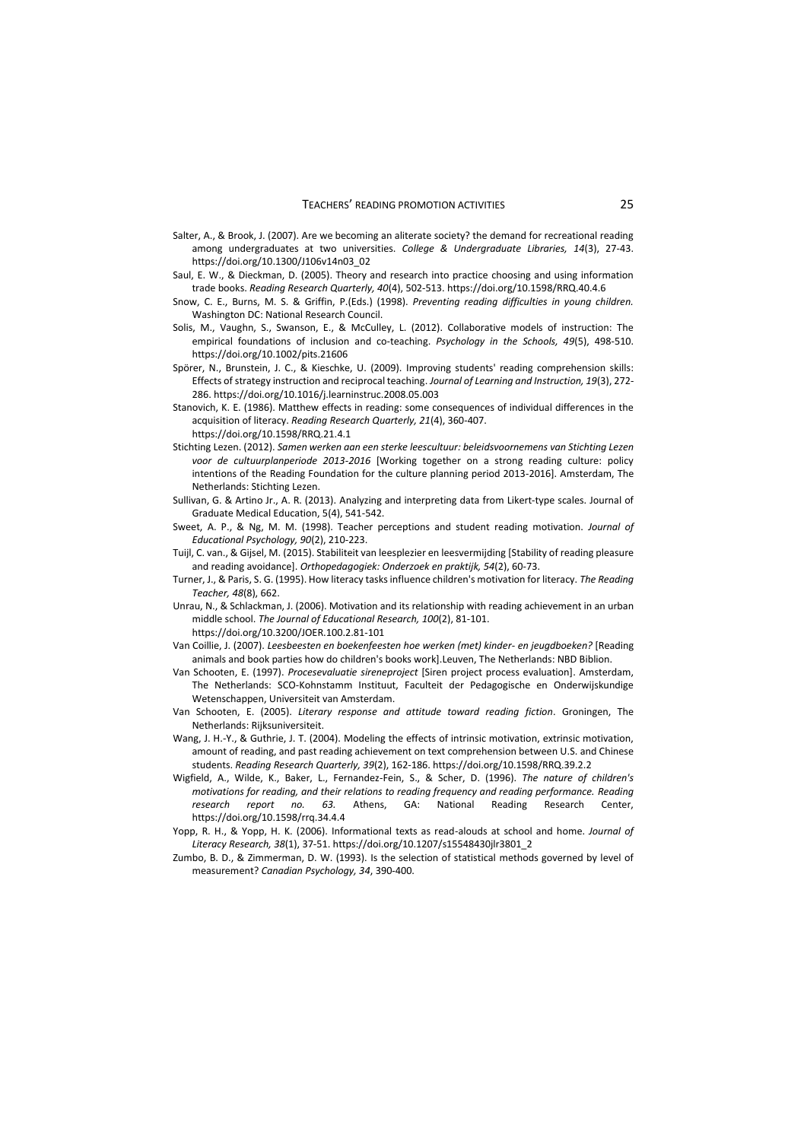- Salter, A., & Brook, J. (2007). Are we becoming an aliterate society? the demand for recreational reading among undergraduates at two universities. *College & Undergraduate Libraries, 14*(3), 27-43. https://doi.org/10.1300/J106v14n03\_02
- Saul, E. W., & Dieckman, D. (2005). Theory and research into practice choosing and using information trade books. *Reading Research Quarterly, 40*(4), 502-513. https://doi.org/10.1598/RRQ.40.4.6
- Snow, C. E., Burns, M. S. & Griffin, P.(Eds.) (1998). *Preventing reading difficulties in young children.*  Washington DC: National Research Council.
- Solis, M., Vaughn, S., Swanson, E., & McCulley, L. (2012). Collaborative models of instruction: The empirical foundations of inclusion and co-teaching. *Psychology in the Schools, 49*(5), 498-510. https://doi.org/10.1002/pits.21606
- Spörer, N., Brunstein, J. C., & Kieschke, U. (2009). Improving students' reading comprehension skills: Effects of strategy instruction and reciprocal teaching. *Journal of Learning and Instruction, 19*(3), 272- 286. https://doi.org/10.1016/j.learninstruc.2008.05.003
- Stanovich, K. E. (1986). Matthew effects in reading: some consequences of individual differences in the acquisition of literacy. *Reading Research Quarterly, 21*(4), 360-407.
	- <https://doi.org/10.1598/RRQ.21.4.1>
- Stichting Lezen. (2012). *Samen werken aan een sterke leescultuur: beleidsvoornemens van Stichting Lezen voor de cultuurplanperiode 2013-2016* [Working together on a strong reading culture: policy intentions of the Reading Foundation for the culture planning period 2013-2016]. Amsterdam, The Netherlands: Stichting Lezen.
- Sullivan, G. & Artino Jr., A. R. (2013). Analyzing and interpreting data from Likert-type scales. Journal of Graduate Medical Education, 5(4), 541-542.
- Sweet, A. P., & Ng, M. M. (1998). Teacher perceptions and student reading motivation. *Journal of Educational Psychology, 90*(2), 210-223.
- Tuijl, C. van., & Gijsel, M. (2015). Stabiliteit van leesplezier en leesvermijding [Stability of reading pleasure and reading avoidance]. *Orthopedagogiek: Onderzoek en praktijk, 54*(2), 60-73.
- Turner, J., & Paris, S. G. (1995). How literacy tasks influence children's motivation for literacy. *The Reading Teacher, 48*(8), 662.
- Unrau, N., & Schlackman, J. (2006). Motivation and its relationship with reading achievement in an urban middle school. *The Journal of Educational Research, 100*(2), 81-101. https://doi.org/10.3200/JOER.100.2.81-101
- Van Coillie, J. (2007). *Leesbeesten en boekenfeesten hoe werken (met) kinder- en jeugdboeken?* [Reading animals and book parties how do children's books work].Leuven, The Netherlands: NBD Biblion.
- Van Schooten, E. (1997). *Procesevaluatie sireneproject* [Siren project process evaluation]. Amsterdam, The Netherlands: SCO-Kohnstamm Instituut, Faculteit der Pedagogische en Onderwijskundige Wetenschappen, Universiteit van Amsterdam.
- Van Schooten, E. (2005). *Literary response and attitude toward reading fiction*. Groningen, The Netherlands: Rijksuniversiteit.
- Wang, J. H.-Y., & Guthrie, J. T. (2004). Modeling the effects of intrinsic motivation, extrinsic motivation, amount of reading, and past reading achievement on text comprehension between U.S. and Chinese students. *Reading Research Quarterly, 39*(2), 162-186. https://doi.org/10.1598/RRQ.39.2.2
- Wigfield, A., Wilde, K., Baker, L., Fernandez-Fein, S., & Scher, D. (1996). *The nature of children's motivations for reading, and their relations to reading frequency and reading performance. Reading research report no. 63.* Athens, GA: National Reading Research Center, https://doi.org/10.1598/rrq.34.4.4
- Yopp, R. H., & Yopp, H. K. (2006). Informational texts as read-alouds at school and home. *Journal of Literacy Research, 38*(1), 37-51. https://doi.org/10.1207/s15548430jlr3801\_2
- Zumbo, B. D., & Zimmerman, D. W. (1993). Is the selection of statistical methods governed by level of measurement? *Canadian Psychology, 34*, 390-400.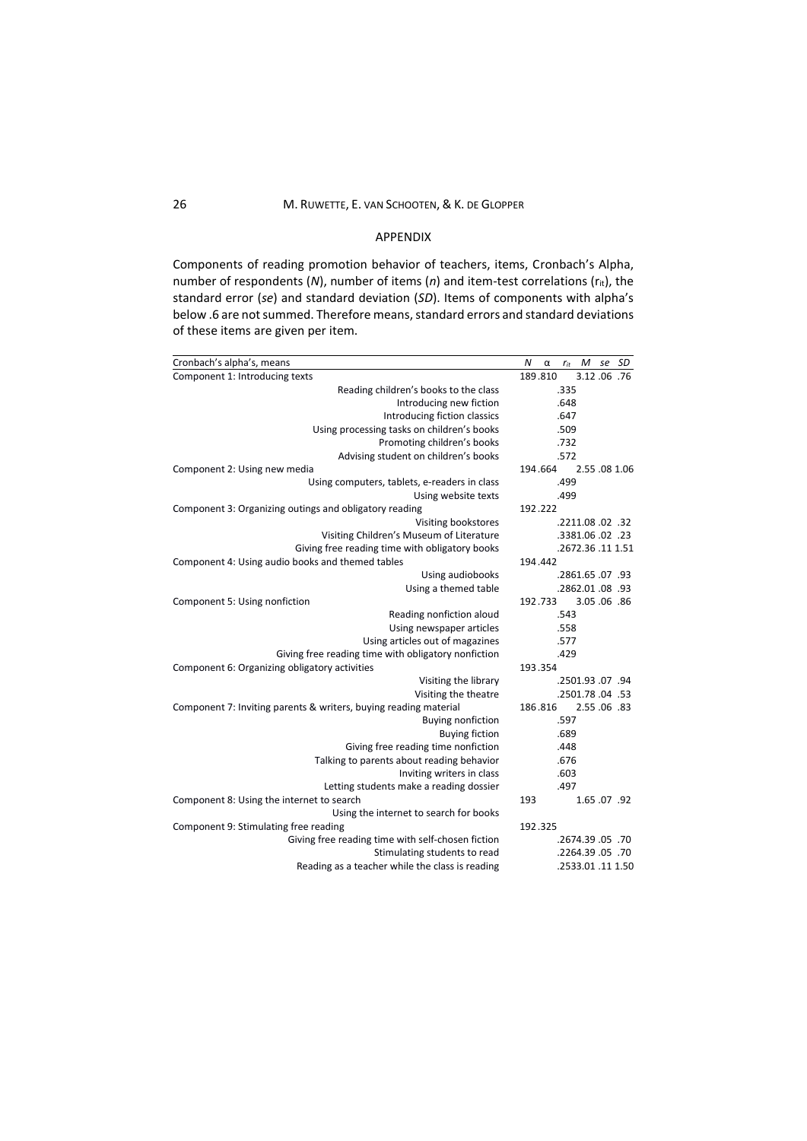# 26 M. RUWETTE, E. VAN SCHOOTEN, & K. DE GLOPPER

# APPENDIX

Components of reading promotion behavior of teachers, items, Cronbach's Alpha, number of respondents (*N*), number of items (*n*) and item-test correlations (rit), the standard error (*se*) and standard deviation (*SD*). Items of components with alpha's below .6 are not summed. Therefore means, standard errors and standard deviations of these items are given per item.

| Cronbach's alpha's, means                                        | N       | $\alpha$ | $r_{it}$ | M | se SD             |
|------------------------------------------------------------------|---------|----------|----------|---|-------------------|
| Component 1: Introducing texts                                   |         | 189.810  |          |   | 3.12.06.76        |
| Reading children's books to the class                            |         | .335     |          |   |                   |
| Introducing new fiction                                          |         | .648     |          |   |                   |
| Introducing fiction classics                                     |         | .647     |          |   |                   |
| Using processing tasks on children's books                       |         | .509     |          |   |                   |
| Promoting children's books                                       |         | .732     |          |   |                   |
| Advising student on children's books                             |         |          | .572     |   |                   |
| Component 2: Using new media                                     |         | 194.664  |          |   | 2.55.08 1.06      |
| Using computers, tablets, e-readers in class                     |         | .499     |          |   |                   |
| Using website texts                                              |         |          | .499     |   |                   |
| Component 3: Organizing outings and obligatory reading           | 192.222 |          |          |   |                   |
| Visiting bookstores                                              |         |          |          |   | .2211.08.02.32    |
| Visiting Children's Museum of Literature                         |         |          |          |   | .3381.06.02.23    |
| Giving free reading time with obligatory books                   |         |          |          |   | .2672.36.11 1.51  |
| Component 4: Using audio books and themed tables                 | 194.442 |          |          |   |                   |
| Using audiobooks                                                 |         |          |          |   | .2861.65.07.93    |
| Using a themed table                                             |         |          |          |   | .2862.01.08.93    |
| Component 5: Using nonfiction                                    |         | 192.733  |          |   | 3.05.06.86        |
| Reading nonfiction aloud                                         |         |          | .543     |   |                   |
| Using newspaper articles                                         |         | .558     |          |   |                   |
| Using articles out of magazines                                  |         | .577     |          |   |                   |
| Giving free reading time with obligatory nonfiction              |         | .429     |          |   |                   |
| Component 6: Organizing obligatory activities                    | 193.354 |          |          |   |                   |
| Visiting the library                                             |         |          |          |   | .2501.93.07.94    |
| Visiting the theatre                                             |         |          |          |   | .2501.78.04.53    |
| Component 7: Inviting parents & writers, buying reading material |         | 186.816  |          |   | 2.55.06.83        |
| <b>Buying nonfiction</b>                                         |         | .597     |          |   |                   |
| <b>Buying fiction</b>                                            |         | .689     |          |   |                   |
| Giving free reading time nonfiction                              |         | .448     |          |   |                   |
| Talking to parents about reading behavior                        |         | .676     |          |   |                   |
| Inviting writers in class                                        |         | .603     |          |   |                   |
| Letting students make a reading dossier                          |         |          | .497     |   |                   |
| Component 8: Using the internet to search                        | 193     |          |          |   | 1.65.07.92        |
| Using the internet to search for books                           |         |          |          |   |                   |
| Component 9: Stimulating free reading                            | 192.325 |          |          |   |                   |
| Giving free reading time with self-chosen fiction                |         |          |          |   | .2674.39.05.      |
| Stimulating students to read                                     |         |          |          |   | .2264.39.05.70    |
| Reading as a teacher while the class is reading                  |         |          |          |   | .2533.01 .11 1.50 |